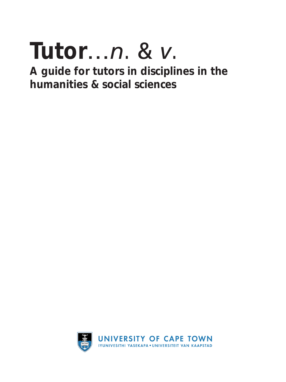# **Tutor**…*n.* & *v.*

**A guide for tutors in disciplines in the humanities & social sciences**

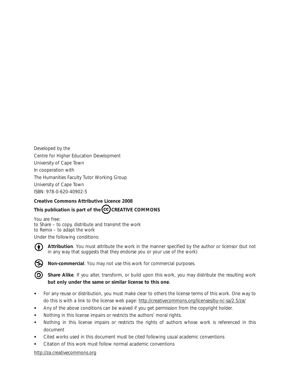Developed by the Centre for Higher Education Development University of Cape Town In cooperation with The Humanities Faculty Tutor Working Group University of Cape Town ISBN: 978-0-620-40902-5

#### **Creative Commons Attributive Licence 2008** This publication is part of the  $\overline{\text{cc}}$  CREATIVE COMMONS

You are free: to Share – to copy, distribute and transmit the work to Remix – to adapt the work

Under the following conditions:



**Attribution**. You must attribute the work in the manner specified by the author or licensor (but not in any way that suggests that they endorse you or your use of the work)



**Non-commercial**. You may not use this work for commercial purposes.

**(3)** Share Alike. If you alter, transform, or build upon this work, you may distribute the resulting work **but only under the same or similar license to this one**.

- For any reuse or distribution, you must make clear to others the license terms of this work. One way to do this is with a link to the license web page: http://creativecommons.org/licenses/by-nc-sa/2.5/za/
- Any of the above conditions can be waived if you get permission from the copyright holder.
- Nothing in this license impairs or restricts the authors' moral rights.
- • Nothing in this license impairs or restricts the rights of authors whose work is referenced in this document
- Cited works used in this document must be cited following usual academic conventions
- Citation of this work must follow normal academic conventions

http://za.creativecommons.org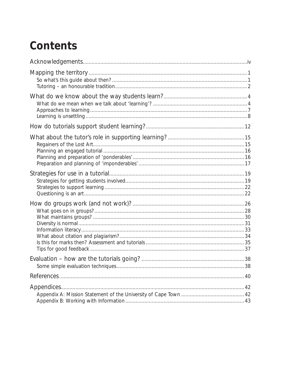# **Contents**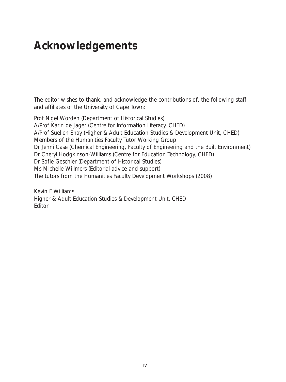# **Acknowledgements**

The editor wishes to thank, and acknowledge the contributions of, the following staff and affiliates of the University of Cape Town:

Prof Nigel Worden (Department of Historical Studies) A/Prof Karin de Jager (Centre for Information Literacy, CHED) A/Prof Suellen Shay (Higher & Adult Education Studies & Development Unit, CHED) Members of the Humanities Faculty Tutor Working Group Dr Jenni Case (Chemical Engineering, Faculty of Engineering and the Built Environment) Dr Cheryl Hodgkinson-Williams (Centre for Education Technology, CHED) Dr Sofie Geschier (Department of Historical Studies) Ms Michelle Willmers (Editorial advice and support) The tutors from the Humanities Faculty Development Workshops (2008)

*Kevin F Williams Higher & Adult Education Studies & Development Unit, CHED Editor*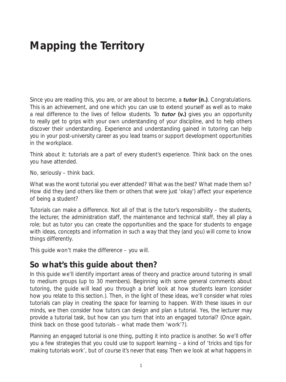# **Mapping the Territory**

Since you are reading this, you are, or are about to become, a *tutor* **(n.)**. Congratulations. This is an achievement, and one which you can use to extend yourself as well as to make a real difference to the lives of fellow students. To *tutor* **(v.)** gives you an opportunity to really get to grips with your own understanding of your discipline, and to help others discover their understanding. Experience and understanding gained in tutoring can help you in your post-university career as you lead teams or support development opportunities in the workplace.

Think about it: tutorials are a part of every student's experience. Think back on the ones you have attended.

No, seriously – think back.

What was the worst tutorial you ever attended? What was the best? What made them so? How did they (and others like them or others that were just 'okay') affect your experience of being a student?

Tutorials can make a difference. Not all of that is the tutor's responsibility – the students, the lecturer, the administration staff, the maintenance and technical staff, they all play a role; but as tutor *you can create the opportunities and the space for students to engage with ideas, concepts and information in such a way that they (and you) will come to know things differently*.

This guide won't make the difference – you will.

### **So what's this guide about then?**

In this guide we'll identify important areas of theory and practice around tutoring in small to medium groups (up to 30 members). Beginning with some general comments about tutoring, the guide will lead you through a brief look at how students learn (consider how you relate to this section.). Then, in the light of these ideas, we'll consider what roles tutorials can play in creating the space for learning to happen. With these issues in our minds, we then consider how tutors can design and plan a tutorial. Yes, the lecturer may provide a tutorial task, but how can you turn that into an engaged tutorial? (Once again, think back on those good tutorials – what made them 'work'?).

Planning an engaged tutorial is one thing, putting it into practice is another. So we'll offer you a few strategies that you could use to support learning – a kind of 'tricks and tips for making tutorials work', but of course it's never that easy. Then we look at what happens in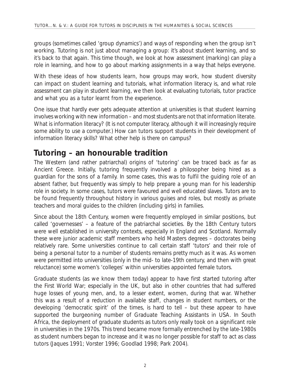groups (sometimes called 'group dynamics') and ways of responding when the group isn't working. Tutoring is not just about managing a group: it's about student learning, and so it's back to that again. This time though, we look at how assessment (marking) can play a role in learning, and how to go about marking assignments in a way that helps everyone.

With these ideas of how students learn, how groups may work, how student diversity can impact on student learning and tutorials, what information literacy is, and what role assessment can play in student learning, we then look at evaluating tutorials, tutor practice and what you as a tutor learnt from the experience.

One issue that hardly ever gets adequate attention at universities is that student learning involves working with new information – and most students are not that information literate. What is information literacy? (It is not computer literacy, although it will increasingly require some ability to use a computer.) How can tutors support students in their development of information literacy skills? What other help is there on campus?

#### **Tutoring – an honourable tradition**

The Western (and rather patriarchal) origins of 'tutoring' can be traced back as far as Ancient Greece. Initially, tutoring frequently involved a philosopher being hired as a guardian for the sons of a family. In some cases, this was to fulfil the guiding role of an absent father, but frequently was simply to help prepare a young man for his leadership role in society. In some cases, tutors were favoured and well educated slaves. Tutors are to be found frequently throughout history in various guises and roles, but mostly as private teachers and moral guides to the children (including girls) in families.

Since about the 18th Century, women were frequently employed in similar positions, but called 'governesses' – a feature of the patriarchal societies. By the 18th Century tutors were well established in university contexts, especially in England and Scotland. Normally these were junior academic staff members who held Masters degrees – doctorates being relatively rare. Some universities continue to call certain staff 'tutors' and their role of being a personal tutor to a number of students remains pretty much as it was. As women were permitted into universities (only in the mid- to late-19th century, and then with great reluctance) some women's 'colleges' within universities appointed female tutors.

Graduate students (as we know them today) appear to have first started tutoring after the First World War; especially in the UK, but also in other countries that had suffered huge losses of young men, and, to a lesser extent, women, during that war. Whether this was a result of a reduction in available staff, changes in student numbers, or the developing 'democratic spirit' of the times, is hard to tell – but these appear to have supported the burgeoning number of Graduate Teaching Assistants in USA. In South Africa, the deployment of graduate students as tutors only really took on a significant role in universities in the 1970s. This trend became more formally entrenched by the late-1980s as student numbers began to increase and it was no longer possible for staff to act as class tutors (Jaques 1991; Vorster 1996; Goodlad 1998; Park 2004).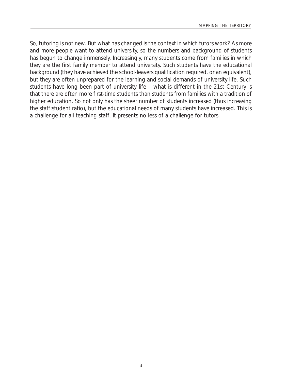So, tutoring is not new. But what has changed is the context in which tutors work? As more and more people want to attend university, so the numbers and background of students has begun to change immensely. Increasingly, many students come from families in which they are the first family member to attend university. Such students have the educational background (they have achieved the school-leavers qualification required, or an equivalent), but they are often unprepared for the learning and social demands of university life. Such students have long been part of university life – what is different in the 21st Century is that there are often more first-time students than students from families with a tradition of higher education. So not only has the sheer number of students increased (thus increasing the staff:student ratio), but the educational needs of many students have increased. This is a challenge for all teaching staff. It presents no less of a challenge for tutors.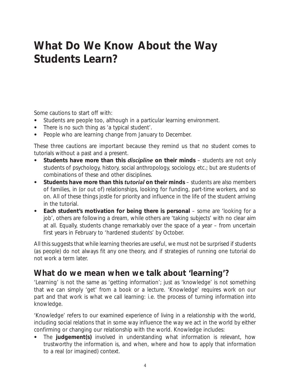# **What Do We Know About the Way Students Learn?**

Some cautions to start off with:

- Students are people too, although in a particular learning environment.
- There is no such thing as 'a typical student'.
- People who are learning change from January to December.

These three cautions are important because they remind us that no student comes to tutorials without a past and a present.

- Students have more than this *discipline* on their minds students are not only students of psychology, history, social anthropology, sociology, etc.; but are students of combinations of these and other disciplines.
- • **Students have more than this** *tutorial* **on their minds** students are also members of families, in (or out of) relationships, looking for funding, part-time workers, and so on. All of these things jostle for priority and influence in the life of the student arriving in the tutorial.
- Each student's motivation for being there is personal some are 'looking for a job', others are following a dream, while others are 'taking subjects' with no clear aim at all. Equally, students change remarkably over the space of a year – from uncertain first years in February to 'hardened students' by October.

All this suggests that while learning theories are useful, we must not be surprised if students (as people) do not always fit any one theory, and if strategies of running one tutorial do not work a term later.

### **What do we mean when we talk about 'learning'?**

'Learning' is not the same as 'getting information'; just as 'knowledge' is not something that we can simply 'get' from a book or a lecture. 'Knowledge' requires work on our part and that work is what we call *learning*: i.e. the process of turning *information* into *knowledge*.

'Knowledge' refers to our examined experience of living in a relationship with the world, including social relations that in some way influence the way we act in the world by either confirming or changing our relationship with the world. Knowledge includes:

• The **judgement(s)** involved in understanding what information is relevant, how trustworthy the information is, and when, where and how to apply that information to a real (or imagined) context.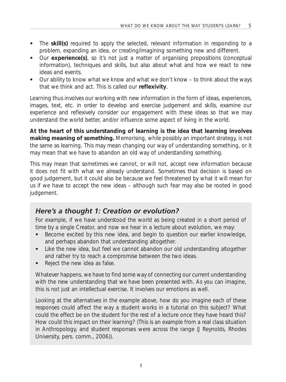- The **skill(s)** required to apply the selected, relevant information in responding to a problem, expanding an idea, or creating/imagining something new and different.
- Our **experience(s)**, so it's not just a matter of organising propositions (conceptual information), techniques and skills, but also about what and how we react to new ideas and events.
- Our ability to know what we know and what we don't know to think about the ways that we think and act. This is called our **reflexivity**.

Learning thus involves our working with new information in the form of ideas, experiences, images, text, etc. in order to develop and exercise judgement and skills, examine our experience and reflexively consider our engagement with these ideas so that we may understand the world better, and/or influence some aspect of living in the world.

**At the heart of this understanding of learning is the idea that learning involves making meaning of something.** Memorising, while possibly an important strategy, is not the same as learning. This may mean changing our way of understanding something, or it may mean that we have to abandon an old way of understanding something.

This may mean that sometimes we cannot, or will not, accept new information because it does not fit with what we already understand. Sometimes that decision is based on good judgement, but it could also be because we feel threatened by what it will mean for us if we have to accept the new ideas – although such fear may also be rooted in good judgement.

#### *Here's a thought 1: Creation or evolution?*

For example, if we have understood the world as being created in a short period of time by a single Creator, and now we hear in a lecture about evolution, we may:

- Become excited by this new idea, and begin to question our earlier knowledge, and perhaps abandon that understanding altogether.
- Like the new idea, but feel we cannot abandon our old understanding altogether and rather try to reach a compromise between the two ideas.
- Reject the new idea as false.

Whatever happens, we have to find some way of connecting our current understanding with the new understanding that we have been presented with. As you can imagine, this is not just an intellectual exercise. It involves our emotions as well.

Looking at the alternatives in the example above, how do you imagine each of these responses could affect the way a student works in a tutorial on this subject? What could the effect be on the student for the rest of a lecture once they have heard this? How could this impact on their learning? (This is an example from a real class situation in Anthropology, and student responses were across the range (J Reynolds, Rhodes University, pers. comm., 2006)).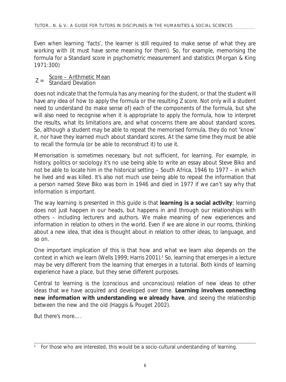Even when learning 'facts', the learner is still required to make sense of what they are working with (it must have some meaning for them). So, for example, memorising the formula for a Standard score in psychometric measurement and statistics (Morgan & King 1971:300)

# Z = Score – Arithmetic Mean<br>Z = Standard Deviation

does not indicate that the formula has any meaning for the student, or that the student will have any idea of how to apply the formula or the resulting Z score. Not only will a student need to understand (to make sense of) each of the components of the formula, but s/he will also need to recognise when it is appropriate to apply the formula, how to interpret the results, what its limitations are, and what concerns there are about standard scores. So, although a student may be able to repeat the memorised formula, they do not 'know' it, nor have they learned much about standard scores. At the same time they must be able to recall the formula (or be able to reconstruct it) to use it.

Memorisation is sometimes necessary, but not sufficient, for learning. For example, in history, politics or sociology it's no use being able to write an essay about Steve Biko and not be able to locate him in the historical setting – South Africa, 1946 to 1977 – in which he lived and was killed. It's also not much use being able to repeat the information that a person named Steve Biko was born in 1946 and died in 1977 if we can't say why that information is important.

The way learning is presented in this guide is that **learning is a social activity**; learning does not just happen in our heads, but happens in and through our relationships with others – including lecturers and authors. We make meaning of new experiences and information in relation to others in the world. Even if we are alone in our rooms, thinking about a new idea, that idea is thought about in relation to other ideas, to language, and so on.

One important implication of this is that how and what we learn also depends on the context in which we learn (Wells 1999; Harris 2001).<sup>1</sup> So, learning that emerges in a lecture may be very different from the learning that emerges in a tutorial. Both kinds of learning experience have a place, but they serve different purposes.

Central to learning is the (conscious and unconscious) relation of new ideas to other ideas that we have acquired and developed over time. **Learning involves connecting new information with understanding we already have**, and seeing the relationship between the new and the old (Haggis & Pouget 2002).

But there's more….

<sup>1</sup> For those who are interested, this would be a socio-cultural understanding of learning.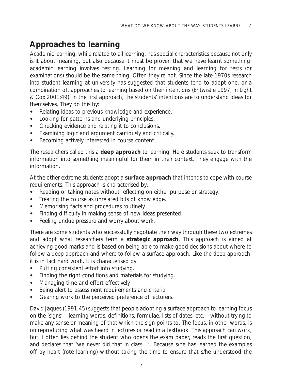### **Approaches to learning**

Academic learning, while related to all learning, has special characteristics because not only is it about meaning, but also because it must be proven that we have learnt something: academic learning involves testing. Learning for meaning and learning for tests (or examinations) *should* be the same thing. Often they're not. Since the late-1970s research into student learning at university has suggested that students tend to adopt one, or a combination of, *approaches* to learning based on their intentions (Entwistle 1997, in Light & Cox 2001:49). In the first approach, the students' intentions are to understand ideas for themselves. They do this by:

- Relating ideas to previous knowledge and experience.
- Looking for patterns and underlying principles.
- Checking evidence and relating it to conclusions.
- Examining logic and argument cautiously and critically.
- Becoming actively interested in course content.

The researchers called this a **deep approach** to learning. Here students seek to *transform* information into something meaningful for them in their context. They engage with the information.

At the other extreme students adopt a **surface approach** that intends to cope with course requirements. This approach is characterised by:

- Reading or taking notes without reflecting on either purpose or strategy.
- Treating the course as unrelated bits of knowledge.
- Memorising facts and procedures routinely.
- Finding difficulty in making sense of new ideas presented.
- Feeling undue pressure and worry about work.

There are some students who successfully negotiate their way through these two extremes and adopt what researchers term a **strategic approach**. This approach is aimed at *achieving* good marks and is based on being able to make good decisions about where to follow a deep approach and where to follow a surface approach. Like the deep approach, it is in fact hard work. It is characterised by:

- Putting consistent effort into studying.
- • Finding the right conditions and materials for studying.
- Managing time and effort effectively.
- Being alert to assessment requirements and criteria.
- Gearing work to the perceived preference of lecturers.

David Jaques (1991:45) suggests that people adopting a surface approach to learning focus on the 'signs' – learning words, definitions, formulae, lists of dates, etc. – without trying to make any sense or meaning of that which the sign points to. The focus, in other words, is on *reproducing* what was heard in lectures or read in a textbook. This approach can work, but it often lies behind the student who opens the exam paper, reads the first question, and declares that 'we never did *that* in class…'. Because s/he has learned the examples off by heart (rote learning) without taking the time to ensure that s/he understood the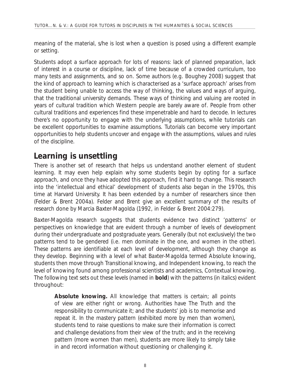meaning of the material, s/he is lost when a question is posed using a different example or setting.

Students adopt a surface approach for lots of reasons: lack of planned preparation, lack of interest in a course or discipline, lack of time because of a crowded curriculum, too many tests and assignments, and so on. Some authors (e.g. Boughey 2008) suggest that the kind of approach to learning which is characterised as a 'surface approach' arises from the student being unable to access the way of thinking, the values and ways of arguing, that the traditional university demands. These ways of thinking and valuing are rooted in years of cultural tradition which Western people are barely aware of. People from other cultural traditions and experiences find these impenetrable and hard to decode. In lectures there's no opportunity to engage with the underlying assumptions, while tutorials can be excellent opportunities to examine assumptions. Tutorials can become very important opportunities to help students uncover and engage with the assumptions, values and rules of the discipline.

#### **Learning is unsettling**

There is another set of research that helps us understand another element of student learning. It may even help explain why some students begin by opting for a surface approach, and once they have adopted this approach, find it hard to change. This research into the 'intellectual and ethical' development of students also began in the 1970s, this time at Harvard University. It has been extended by a number of researchers since then (Felder & Brent 2004a). Felder and Brent give an excellent summary of the results of research done by Marcia Baxter-Magolda (1992, in Felder & Brent 2004:279).

Baxter-Magolda research suggests that students evidence two distinct 'patterns' or perspectives on knowledge that are evident through a number of levels of development during their undergraduate and postgraduate years. Generally (but not exclusively) the two patterns tend to be gendered (i.e. men dominate in the one, and women in the other). These patterns are identifiable at each level of development, although they change as they develop. Beginning with a level of what Baxter-Magolda termed *Absolute knowing*, students then move through *Transitional knowing*, and *Independent knowing*, to reach the level of knowing found among professional scientists and academics, *Contextual knowing*. The following text sets out these levels (named in **bold**) with the patterns (in *italics*) evident throughout:

**Absolute knowing.** All knowledge that matters is certain; all points of view are either right or wrong. Authorities have The Truth and the responsibility to communicate it; and the students' job is to memorise and repeat it. In the *mastery pattern* (exhibited more by men than women), students tend to raise questions to make sure their information is correct and challenge deviations from their view of the truth; and in the *receiving pattern* (more women than men), students are more likely to simply take in and record information without questioning or challenging it.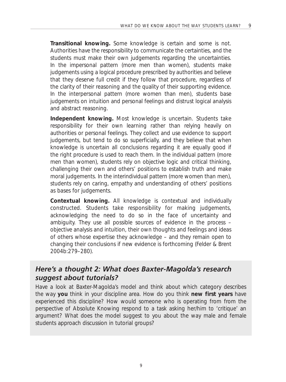**Transitional knowing.** Some knowledge is certain and some is not. Authorities have the responsibility to communicate the certainties, and the students must make their own judgements regarding the uncertainties. In the *impersonal pattern* (more men than women), students make judgements using a logical procedure prescribed by authorities and believe that they deserve full credit if they follow that procedure, regardless of the clarity of their reasoning and the quality of their supporting evidence. In the *interpersonal pattern* (more women than men), students base judgements on intuition and personal feelings and distrust logical analysis and abstract reasoning.

**Independent knowing.** Most knowledge is uncertain. Students take responsibility for their own learning rather than relying heavily on authorities or personal feelings. They collect and use evidence to support judgements, but tend to do so superficially, and they believe that when knowledge is uncertain all conclusions regarding it are equally good if the right procedure is used to reach them. In the *individual pattern* (more men than women), students rely on objective logic and critical thinking, challenging their own and others' positions to establish truth and make moral judgements. In the *interindividual pattern* (more women than men), students rely on caring, empathy and understanding of others' positions as bases for judgements.

**Contextual knowing.** All knowledge is contextual and individually constructed. Students take responsibility for making judgements, acknowledging the need to do so in the face of uncertainty and ambiguity. They use all possible sources of evidence in the process – objective analysis and intuition, their own thoughts and feelings and ideas of others whose expertise they acknowledge – and they remain open to changing their conclusions if new evidence is forthcoming (Felder & Brent 2004b:279–280).

#### *Here's a thought 2: What does Baxter-Magolda's research suggest about tutorials?*

Have a look at Baxter-Magolda's model and think about which category describes the way **you** think in your discipline area. How do you think **new first years** have experienced this discipline? How would someone who is operating from from the perspective of Absolute Knowing respond to a task asking her/him to 'critique' an argument? What does the model suggest to you about the way male and female students approach discussion in tutorial groups?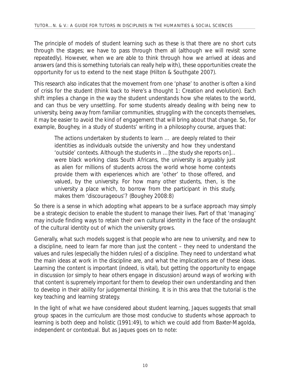The principle of models of student learning such as these is that there are no short cuts through the stages; we have to pass through them all (although we will revisit some repeatedly). However, when we are able to think through how we arrived at ideas and answers (and this is something tutorials can really help with), these opportunities create the opportunity for us to extend to the next stage (Hilton & Southgate 2007).

This research also indicates that the movement from one 'phase' to another is often a kind of crisis for the student (think back to *Here's a thought 1: Creation and evolution*). Each shift implies a change in the way the student understands how s/he relates to the world, and can thus be very unsettling. For some students already dealing with being new to university, being away from familiar communities, struggling with the concepts themselves, it may be easier to avoid the kind of engagement that will bring about that change. So, for example, Boughey, in a study of students' writing in a philosophy course, argues that:

The actions undertaken by students to learn … are deeply related to their identities as individuals outside the university and how they understand 'outside' contexts. Although the students in …[the study she reports on]... were black working class South Africans, the university is arguably just as alien for millions of students across the world whose home contexts provide them with experiences which are 'other' to those offered, and valued, by the university. For how many other students, then, is the university a place which, to borrow from the participant in this study, makes them 'discourageous'? (Boughey 2008:8)

So there is a sense in which adopting what appears to be a surface approach may simply be a strategic decision to enable the student to manage their lives. Part of that 'managing' may include finding ways to retain their own cultural identity in the face of the onslaught of the cultural identity out of which the university grows.

Generally, what such models suggest is that people who are new to university, and new to a discipline, need to learn far more than just the content – they need to understand the values and rules (especially the hidden rules) of a discipline. They need to understand what the main ideas at work in the discipline are, and what the implications are of these ideas. Learning the content is important (indeed, is vital), but getting the opportunity to engage in discussion (or simply to hear others engage in discussion) around ways of working with that content is supremely important for them to develop their own understanding and then to develop in their ability for judgemental thinking. It is in this area that the tutorial is the key teaching and learning strategy.

In the light of what we have considered about student learning, Jaques suggests that small group spaces in the curriculum are those most conducive to students whose approach to learning is both deep and holistic (1991:49), to which we could add from Baxter-Magolda, *independent* or *contextual*. But as Jaques goes on to note: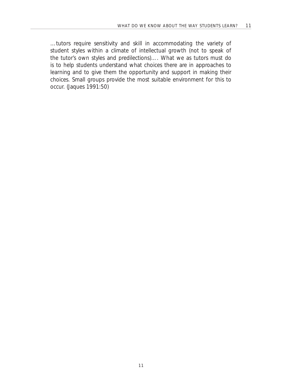…tutors require sensitivity and skill in accommodating the variety of student styles within a climate of intellectual growth (not to speak of the tutor's own styles and predilections)…. What we as tutors must do is to help students understand what choices there are in approaches to learning and to give them the opportunity and support in making their choices. Small groups provide the most suitable environment for this to occur. (Jaques 1991:50)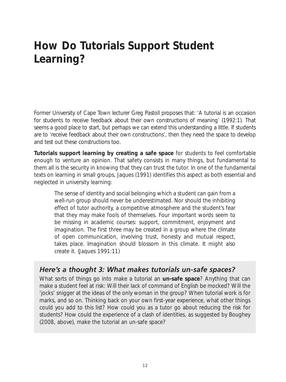# **How Do Tutorials Support Student Learning?**

Former University of Cape Town lecturer Greg Pastoll proposes that: 'A tutorial is an occasion for students to receive feedback about their own constructions of meaning' (1992:1). That seems a good place to start, but perhaps we can extend this understanding a little. If students are to 'receive feedback about their own constructions', then they need the space to develop and test out these constructions too.

**Tutorials support learning by creating a safe space** for students to feel comfortable enough to venture an opinion. That safety consists in many things, but fundamental to them all is the security in knowing that they can trust the tutor. In one of the fundamental texts on learning in small groups, Jaques (1991) identifies this aspect as both essential and neglected in university learning:

The sense of identity and social belonging which a student can gain from a well-run group should never be underestimated. Nor should the inhibiting effect of tutor authority, a competitive atmosphere and the student's fear that they may make fools of themselves. Four important words seem to be missing in academic courses: support, commitment, enjoyment and imagination. The first three may be created in a group where the climate of open communication, involving trust, honesty and mutual respect, takes place. Imagination should blossom in this climate. It might also create it. (Jaques 1991:11)

#### *Here's a thought 3: What makes tutorials un-safe spaces?*

What sorts of things go into make a tutorial an **un-safe space**? Anything that can make a student feel at risk: Will their lack of command of English be mocked? Will the 'jocks' snigger at the ideas of the only woman in the group? When tutorial work is for marks, and so on. Thinking back on your own first-year experience, what other things could you add to this list? How could you as a tutor go about reducing the risk for students? How could the experience of a clash of identities, as suggested by Boughey (2008, above), make the tutorial an un-safe space?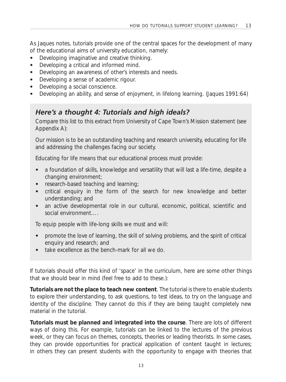As Jaques notes, tutorials provide one of the central spaces for the development of many of the educational aims of university education, namely:

- Developing imaginative and creative thinking.
- Developing a critical and informed mind.
- Developing an awareness of other's interests and needs.
- Developing a sense of academic rigour.
- Developing a social conscience.
- Developing an ability, and sense of enjoyment, in lifelong learning. (Jaques 1991:64)

#### *Here's a thought 4: Tutorials and high ideals?*

Compare this list to this extract from University of Cape Town's Mission statement (see Appendix A):

*Our mission is to be an outstanding teaching and research university, educating for life and addressing the challenges facing our society.*

*Educating for life means that our educational process must provide:* 

- a foundation of skills, knowledge and versatility that will last a life-time, despite a *changing environment;*
- *• research-based teaching and learning;*
- *• critical enquiry in the form of the search for new knowledge and better understanding; and*
- *• an active developmental role in our cultural, economic, political, scientific and social environment….*

*To equip people with life-long skills we must and will:*

- *• promote the love of learning, the skill of solving problems, and the spirit of critical enquiry and research; and*
- *• take excellence as the bench-mark for all we do.*

If tutorials should offer this kind of 'space' in the curriculum, here are some other things that we should bear in mind (feel free to add to these.):

**Tutorials are not the place to teach new content**. The tutorial is there to enable students to explore their understanding, to ask questions, to test ideas, to try on the language and identity of the discipline. They cannot do this if they are being taught completely new material in the tutorial.

**Tutorials must be planned and integrated into the course**. There are lots of different ways of doing this. For example, tutorials can be linked to the lectures of the previous week, or they can focus on themes, concepts, theories or leading theorists. In some cases, they can provide opportunities for practical application of content taught in lectures; in others they can present students with the opportunity to engage with theories that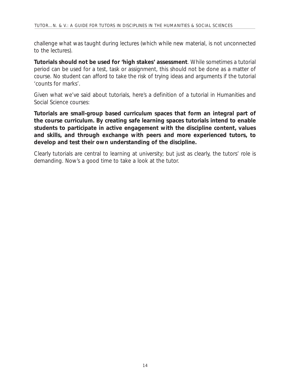challenge what was taught during lectures (which while new material, is not unconnected to the lectures).

**Tutorials should not be used for 'high stakes' assessment**. While sometimes a tutorial period can be used for a test, task or assignment, this should not be done as a matter of course. No student can afford to take the risk of trying ideas and arguments if the tutorial 'counts for marks'.

Given what we've said about tutorials, here's a definition of a tutorial in Humanities and Social Science courses:

**Tutorials are small-group based curriculum spaces that form an integral part of the course curriculum. By creating safe learning spaces tutorials intend to enable students to participate in active engagement with the discipline content, values and skills, and through exchange with peers and more experienced tutors, to develop and test their own understanding of the discipline.** 

Clearly tutorials are central to learning at university; but just as clearly, the tutors' role is demanding. Now's a good time to take a look at the tutor.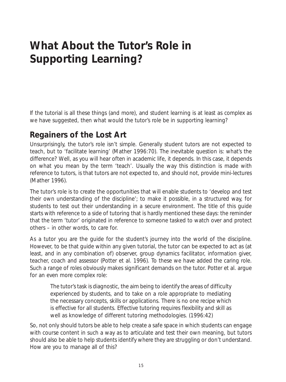# **What About the Tutor's Role in Supporting Learning?**

If the tutorial is all these things (and more), and student learning is at least as complex as we have suggested, then what would the tutor's role be in supporting learning?

### **Regainers of the Lost Art**

Unsurprisingly, the tutor's role isn't simple. Generally student tutors are not expected to teach, but to 'facilitate learning' (Mather 1996:70). The inevitable question is: what's the difference? Well, as you will hear often in academic life, it depends. In this case, it depends on what you mean by the term 'teach'. Usually the way this distinction is made with reference to tutors, is that tutors are not expected to, and should not, provide mini-lectures (Mather 1996).

The tutor's role is to create the opportunities that will enable students to 'develop and test their own understanding of the discipline'; to make it possible, in a structured way, for students to test out their understanding in a secure environment. The title of this guide starts with reference to a side of tutoring that is hardly mentioned these days: the reminder that the term 'tutor' originated in reference to someone tasked to watch over and protect others – in other words, to care for.

As a tutor you are the guide for the student's journey into the world of the discipline. However, to be that guide within any given tutorial, the tutor can be expected to act as (at least, and in any combination of) observer, group dynamics facilitator, information giver, teacher, coach and assessor (Potter *et al*. 1996). To these we have added the caring role. Such a range of roles obviously makes significant demands on the tutor. Potter *et al.* argue for an even more complex role:

The tutor's task is diagnostic, the aim being to identify the areas of difficulty experienced by students, and to take on a role appropriate to mediating the necessary concepts, skills or applications. There is no one recipe which is effective for all students. Effective tutoring requires flexibility and skill as well as knowledge of different tutoring methodologies. (1996:42)

So, not only should tutors be able to help create a safe space in which students can engage with course content in such a way as to articulate and test their own meaning, but tutors should also be able to help students identify where they are struggling or don't understand. How are you to manage all of this?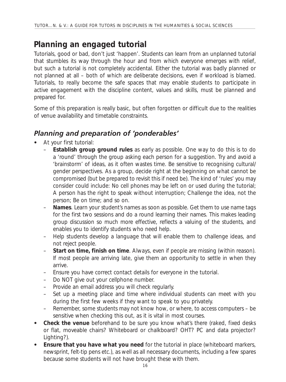### **Planning an engaged tutorial**

Tutorials, good or bad, don't just 'happen'. Students *can* learn from an unplanned tutorial that stumbles its way through the hour and from which everyone emerges with relief, but such a tutorial is not completely accidental. Either the tutorial was badly planned or not planned at all – both of which are deliberate decisions, even if workload is blamed. Tutorials, to really become the *safe spaces* that may *enable students to participate in active engagement with the discipline content, values and skills*, must be planned and prepared for.

Some of this preparation is really basic, but often forgotten or difficult due to the realities of venue availability and timetable constraints.

#### *Planning and preparation of 'ponderables'*

- At your first tutorial:
	- **Establish group ground rules** as early as possible. One way to do this is to do a 'round' through the group asking each person for a suggestion. Try and avoid a 'brainstorm' of ideas, as it often wastes time. Be sensitive to recognising cultural/ gender perspectives. As a group, decide right at the beginning on what cannot be compromised (but be prepared to revisit this if need be). The kind of 'rules' you may consider could include: No cell phones may be left on or used during the tutorial; A person has the right to speak without interruption; Challenge the idea, not the person; Be on time; and so on.
	- **Names**. Learn your student's names as soon as possible. Get them to use name tags for the first two sessions and do a round learning their names. This makes leading group discussion so much more effective, reflects a valuing of the students, and enables you to identify students who need help.
	- Help students develop a language that will enable them to challenge ideas, and not reject people.
	- **Start on time, finish on time**. Always, even if people are missing (within reason). If most people are arriving late, give them an opportunity to settle in when they arrive.
	- Ensure you have correct contact details for everyone in the tutorial.
	- Do NOT give out your cellphone number.
	- Provide an email address you will check regularly.
	- Set up a meeting place and time where individual students can meet with you during the first few weeks if they want to speak to you privately.
	- Remember, some students may not know how, or where, to access computers be sensitive when checking this out, as it is vital in most courses.
- **Check the venue** beforehand to be sure you know what's there (raked, fixed desks or flat, moveable chairs? Whiteboard or chalkboard? OHT? PC and data projector? Lighting?).
- **Ensure that you have what you need** for the tutorial in place (whiteboard markers, newsprint, felt-tip pens etc.), as well as all necessary documents, including a few spares because some students will not have brought these with them.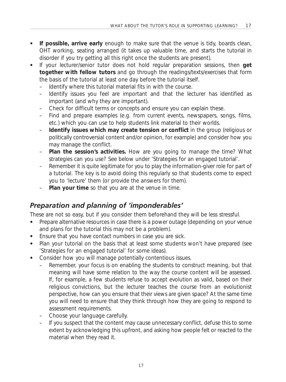- **If possible, arrive early** enough to make sure that the venue is tidy, boards clean, OHT working, seating arranged (it takes up valuable time, and starts the tutorial in disorder if you try getting all this right once the students are present).
- If your lecturer/senior tutor does not hold regular preparation sessions, then **get together with fellow tutors** and go through the readings/texts/exercises that form the basis of the tutorial at least one day before the tutorial itself.
	- Identify where this tutorial material fits in with the course.
	- Identify issues you feel are important and that the lecturer has identified as important (and why they are important).
	- Check for difficult terms or concepts and ensure you can explain these.
	- Find and prepare examples (e.g. from current events, newspapers, songs, films, etc.) which you can use to help students link material to their worlds.
	- **Identify issues which may create tension or conflict** in the group (religious or politically controversial content and/or opinion, for example) and consider how you may manage the conflict.
	- Plan the session's activities. How are you going to manage the time? What strategies can you use? See below under 'Strategies for an engaged tutorial'.
	- Remember it is quite legitimate for you to play the information-giver role for part of a tutorial. The key is to avoid doing this regularly so that students come to expect you to 'lecture' them (or provide the answers for them).
	- Plan your time so that you are at the venue in time.

#### *Preparation and planning of 'imponderables'*

These are not so easy, but if you consider them beforehand they will be less stressful.

- Prepare alternative resources in case there is a power outage (depending on your venue and plans for the tutorial this may not be a problem).
- Ensure that you have contact numbers in case you are sick.
- Plan your tutorial on the basis that at least some students won't have prepared (see 'Strategies for an engaged tutorial' for some ideas).
- Consider how you will manage potentially contentious issues.
	- Remember, your focus is on enabling the students to construct meaning, but that meaning will have some relation to the way the course content will be assessed. If, for example, a few students refuse to accept evolution as valid, based on their religious convictions, but the lecturer teaches the course from an evolutionist perspective, how can you ensure that their views are given space? At the same time you will need to ensure that they think through how they are going to respond to assessment requirements.
	- Choose your language carefully.
	- If you suspect that the content may cause unnecessary conflict, defuse this to some extent by acknowledging this upfront, and asking how people *felt* or *reacted* to the material when they read it.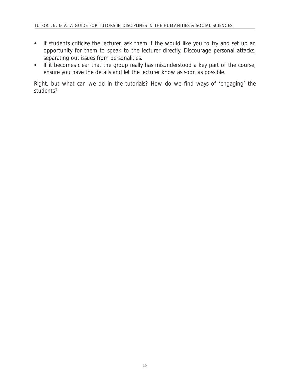- If students criticise the lecturer, ask them if the would like you to try and set up an opportunity for them to speak to the lecturer directly. Discourage personal attacks, separating out issues from personalities.
- If it becomes clear that the group really has misunderstood a key part of the course, ensure you have the details and let the lecturer know as soon as possible.

Right, but what can we *do* in the tutorials? How do we find ways of 'engaging' the students?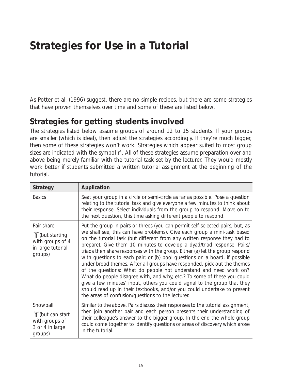# **Strategies for Use in a Tutorial**

As Potter *et al*. (1996) suggest, there are no simple recipes, but there are some strategies that have proven themselves over time and some of these are listed below.

#### **Strategies for getting students involved**

The strategies listed below assume groups of around 12 to 15 students. If your groups are smaller (which is ideal), then adjust the strategies accordingly. If they're much bigger, then some of these strategies won't work. Strategies which appear suited to most group sizes are indicated with the symbol  $\mathbf{\tilde{y}}$ . All of these strategies assume preparation over and above being merely familiar with the tutorial task set by the lecturer. They would mostly work better if students submitted a written tutorial assignment at the beginning of the tutorial.

| <b>Strategy</b>                                                                     | Application                                                                                                                                                                                                                                                                                                                                                                                                                                                                                                                                                                                                                                                                                                                                                                                                                                                                                                               |
|-------------------------------------------------------------------------------------|---------------------------------------------------------------------------------------------------------------------------------------------------------------------------------------------------------------------------------------------------------------------------------------------------------------------------------------------------------------------------------------------------------------------------------------------------------------------------------------------------------------------------------------------------------------------------------------------------------------------------------------------------------------------------------------------------------------------------------------------------------------------------------------------------------------------------------------------------------------------------------------------------------------------------|
| <b>Basics</b>                                                                       | Seat your group in a circle or semi-circle as far as possible. Pose a question<br>relating to the tutorial task and give everyone a few minutes to think about<br>their response. Select individuals from the group to respond. Move on to<br>the next question, this time asking different people to respond.                                                                                                                                                                                                                                                                                                                                                                                                                                                                                                                                                                                                            |
| Pair-share<br>"\" (but starting<br>with groups of 4<br>in large tutorial<br>groups) | Put the group in pairs or threes (you can permit self-selected pairs, but, as<br>we shall see, this can have problems). Give each group a mini-task based<br>on the tutorial task (but different from any written response they had to<br>prepare). Give them 10 minutes to develop a dyad/triad response. Pairs/<br>triads then share responses with the group. Either (a) let the group respond<br>with questions to each pair; or (b) pool questions on a board, if possible<br>under broad themes. After all groups have responded, pick out the themes<br>of the questions: What do people not understand and need work on?<br>What do people disagree with, and why, etc.? To some of these you could<br>give a few minutes' input, others you could signal to the group that they<br>should read up in their textbooks, and/or you could undertake to present<br>the areas of confusion/questions to the lecturer. |
| Snowball<br>"/but can start"<br>with groups of<br>3 or 4 in large<br>groups)        | Similar to the above. Pairs discuss their responses to the tutorial assignment,<br>then join another pair and each person presents their understanding of<br>their colleague's answer to the bigger group. In the end the whole group<br>could come together to identify questions or areas of discovery which arose<br>in the tutorial.                                                                                                                                                                                                                                                                                                                                                                                                                                                                                                                                                                                  |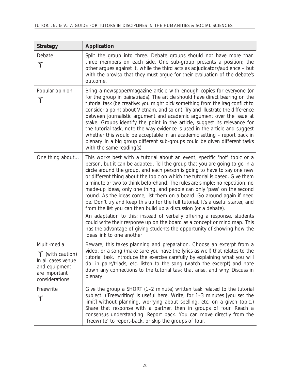| <b>Strategy</b>                                                                                           | Application                                                                                                                                                                                                                                                                                                                                                                                                                                                                                                                                                                                                                                                                                                                                                                                                                                                                                                                                                                        |
|-----------------------------------------------------------------------------------------------------------|------------------------------------------------------------------------------------------------------------------------------------------------------------------------------------------------------------------------------------------------------------------------------------------------------------------------------------------------------------------------------------------------------------------------------------------------------------------------------------------------------------------------------------------------------------------------------------------------------------------------------------------------------------------------------------------------------------------------------------------------------------------------------------------------------------------------------------------------------------------------------------------------------------------------------------------------------------------------------------|
| Debate<br>'Y'                                                                                             | Split the group into three. Debate groups should not have more than<br>three members on each side. One sub-group presents a position; the<br>other argues against it, while the third acts as adjudicators/audience - but<br>with the proviso that they must argue for their evaluation of the debate's<br>outcome.                                                                                                                                                                                                                                                                                                                                                                                                                                                                                                                                                                                                                                                                |
| Popular opinion<br>'Y'                                                                                    | Bring a newspaper/magazine article with enough copies for everyone (or<br>for the group in pairs/triads). The article should have direct bearing on the<br>tutorial task (be creative: you might pick something from the Iraq conflict to<br>consider a point about Vietnam, and so on). Try and illustrate the difference<br>between journalistic argument and academic argument over the issue at<br>stake. Groups identify the point in the article, suggest its relevance for<br>the tutorial task, note the way evidence is used in the article and suggest<br>whether this would be acceptable in an academic setting - report back in<br>plenary. In a big group different sub-groups could be given different tasks<br>with the same reading(s).                                                                                                                                                                                                                           |
| One thing about                                                                                           | This works best with a tutorial about an event, specific 'hot' topic or a<br>person, but it can be adapted. Tell the group that you are going to go in a<br>circle around the group, and each person is going to have to say one new<br>or different thing about the topic on which the tutorial is based. Give them<br>a minute or two to think beforehand. The rules are simple: no repetition, no<br>made-up ideas, only one thing, and people can only 'pass' on the second<br>round. As the ideas come, list them on a board. Go around again if need<br>be. Don't try and keep this up for the full tutorial. It's a useful starter, and<br>from the list you can then build up a discussion (or a debate).<br>An adaptation to this: instead of verbally offering a response, students<br>could write their response up on the board as a concept or mind map. This<br>has the advantage of giving students the opportunity of showing how the<br>ideas link to one another |
| Multi-media<br>Y (with caution)<br>In all cases venue<br>and equipment<br>are important<br>considerations | Beware, this takes planning and preparation. Choose an excerpt from a<br>video, or a song (make sure you have the lyrics as well) that relates to the<br>tutorial task. Introduce the exercise carefully by explaining what you will<br>do: in pairs/triads, etc. listen to the song (watch the excerpt) and note<br>down any connections to the tutorial task that arise, and why. Discuss in<br>plenary.                                                                                                                                                                                                                                                                                                                                                                                                                                                                                                                                                                         |
| Freewrite<br>'Y'                                                                                          | Give the group a SHORT (1-2 minute) written task related to the tutorial<br>subject. ('Freewriting' is useful here. Write, for 1-3 minutes [you set the<br>limit] without planning, worrying about spelling, etc. on a given topic.)<br>Share that response with a partner, then in groups of four. Reach a<br>consensus understanding. Report back. You can move directly from the<br>'freewrite' to report-back, or skip the groups of four.                                                                                                                                                                                                                                                                                                                                                                                                                                                                                                                                     |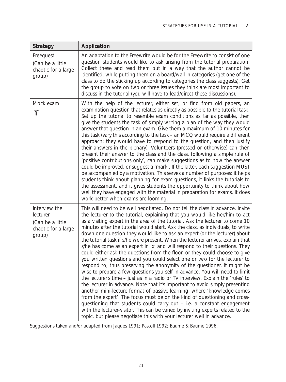| <b>Strategy</b>                                                                | Application                                                                                                                                                                                                                                                                                                                                                                                                                                                                                                                                                                                                                                                                                                                                                                                                                                                                                                                                                                                                                                                                                                                                                                                                                                                                                                                                                                                                                                                                |
|--------------------------------------------------------------------------------|----------------------------------------------------------------------------------------------------------------------------------------------------------------------------------------------------------------------------------------------------------------------------------------------------------------------------------------------------------------------------------------------------------------------------------------------------------------------------------------------------------------------------------------------------------------------------------------------------------------------------------------------------------------------------------------------------------------------------------------------------------------------------------------------------------------------------------------------------------------------------------------------------------------------------------------------------------------------------------------------------------------------------------------------------------------------------------------------------------------------------------------------------------------------------------------------------------------------------------------------------------------------------------------------------------------------------------------------------------------------------------------------------------------------------------------------------------------------------|
| Freequest<br>(Can be a little<br>chaotic for a large<br>group)                 | An adaptation to the Freewrite would be for the Freewrite to consist of one<br>question students would like to ask arising from the tutorial preparation.<br>Collect these and read them out in a way that the author cannot be<br>identified, while putting them on a board/wall in categories (get one of the<br>class to do the sticking up according to categories the class suggests). Get<br>the group to vote on two or three issues they think are most important to<br>discuss in the tutorial (you will have to lead/direct these discussions).                                                                                                                                                                                                                                                                                                                                                                                                                                                                                                                                                                                                                                                                                                                                                                                                                                                                                                                  |
| Mock exam<br>'Y'                                                               | With the help of the lecturer, either set, or find from old papers, an<br>examination question that relates as directly as possible to the tutorial task.<br>Set up the tutorial to resemble exam conditions as far as possible, then<br>give the students the task of simply writing a plan of the way they would<br>answer that question in an exam. Give them a maximum of 10 minutes for<br>this task (vary this according to the task – an MCQ would require a different<br>approach; they would have to respond to the question, and then justify<br>their answers in the plenary). Volunteers (pressed or otherwise) can then<br>present their answer to the class and the class, following a simple rule of<br>'positive contributions only', can make suggestions as to how the answer<br>could be improved, or suggest a 'mark'. If the latter, each suggestion MUST<br>be accompanied by a motivation. This serves a number of purposes: it helps<br>students think about planning for exam questions, it links the tutorials to<br>the assessment, and it gives students the opportunity to think about how<br>well they have engaged with the material in preparation for exams. It does<br>work better when exams are looming.                                                                                                                                                                                                                               |
| Interview the<br>lecturer<br>(Can be a little<br>chaotic for a large<br>group) | This will need to be well negotiated. Do not tell the class in advance. Invite<br>the lecturer to the tutorial, explaining that you would like her/him to act<br>as a visiting expert in the area of the tutorial. Ask the lecturer to come 10<br>minutes after the tutorial would start. Ask the class, as individuals, to write<br>down one question they would like to ask an expert (or the lecturer) about<br>the tutorial task if s/he were present. When the lecturer arrives, explain that<br>s/he has come as an expert in 'x' and will respond to their questions. They<br>could either ask the questions from the floor, or they could choose to give<br>you written questions and you could select one or two for the lecturer to<br>respond to, thus preserving the anonymity of the questioner. It might be<br>wise to prepare a few questions yourself in advance. You will need to limit<br>the lecturer's time – just as in a radio or TV interview. Explain the 'rules' to<br>the lecturer in advance. Note that it's important to avoid simply presenting<br>another mini-lecture format of passive learning, where 'knowledge comes<br>from the expert'. The focus must be on the kind of questioning and cross-<br>questioning that students could carry out - i.e. a constant engagement<br>with the lecturer-visitor. This can be varied by inviting experts related to the<br>topic, but please negotiate this with your lecturer well in advance. |

*Suggestions taken and/or adapted from Jaques 1991; Pastoll 1992; Baume & Baume 1996.*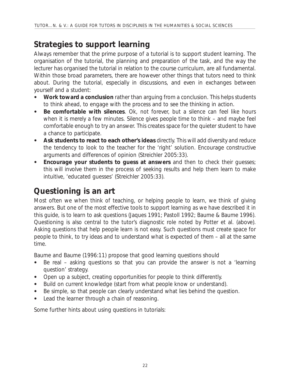### **Strategies to support learning**

Always remember that the prime purpose of a tutorial is to support student learning. The organisation of the tutorial, the planning and preparation of the task, and the way the lecturer has organised the tutorial in relation to the course curriculum, are all fundamental. Within those broad parameters, there are however other things that tutors need to think about. During the tutorial, especially in discussions, and even in exchanges between yourself and a student:

- **Work toward a conclusion** rather than arguing from a conclusion. This helps students to think ahead, to engage with the process and to see the thinking in action.
- **• Be comfortable with silences**. Ok, not forever, but a silence can feel like hours when it is merely a few minutes. Silence gives people time to think – and maybe feel comfortable enough to try an answer. This creates space for the quieter student to have a chance to participate.
- **Ask students to react to each other's ideas** directly. This will add diversity and reduce the tendency to look to the teacher for the 'right' solution. Encourage constructive arguments and differences of opinion (Streichler 2005:33).
- **Encourage your students to guess at answers** and then to check their quesses; this will involve them in the process of seeking results and help them learn to make intuitive, 'educated guesses' (Streichler 2005:33).

### **Questioning is an art**

Most often we when think of teaching, or helping people to learn, we think of giving answers. But one of the most effective tools to support learning as we have described it in this guide, is to learn to ask questions (Jaques 1991; Pastoll 1992; Baume & Baume 1996). Questioning is also central to the tutor's diagnostic role noted by Potter *et al.* (above). Asking questions that help people learn is not easy. Such questions must create space for people to think, to try ideas and to understand what is expected of them – all at the same time.

Baume and Baume (1996:11) propose that good learning questions should

- Be real asking questions so that you can provide the answer is not a 'learning question' strategy.
- Open up a subject, creating opportunities for people to think differently.
- Build on current knowledge (start from what people know or understand).
- Be simple, so that people can clearly understand what lies behind the question.
- Lead the learner through a chain of reasoning.

Some further hints about using questions in tutorials: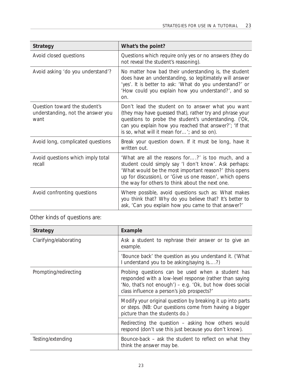| <b>Strategy</b>                                                            | What's the point?                                                                                                                                                                                                                                                                    |
|----------------------------------------------------------------------------|--------------------------------------------------------------------------------------------------------------------------------------------------------------------------------------------------------------------------------------------------------------------------------------|
| Avoid closed questions                                                     | Questions which require only yes or no answers (they do<br>not reveal the student's reasoning).                                                                                                                                                                                      |
| Avoid asking 'do you understand'?                                          | No matter how bad their understanding is, the student<br>does have an understanding, so legitimately will answer<br>'yes'. It is better to ask: 'What do you understand?' or<br>'How could you explain how you understand?', and so<br>on.                                           |
| Question toward the student's<br>understanding, not the answer you<br>want | Don't lead the student on to answer what you want<br>(they may have guessed that), rather try and phrase your<br>questions to probe the student's understanding. ('Ok,<br>can you explain how you reached that answer?"; 'If that<br>is so, what will it mean for'; and so on).      |
| Avoid long, complicated questions                                          | Break your question down. If it must be long, have it<br>written out.                                                                                                                                                                                                                |
| Avoid questions which imply total<br>recall                                | 'What are all the reasons for?' is too much, and a<br>student could simply say 'I don't know'. Ask perhaps:<br>'What would be the most important reason?' (this opens<br>up for discussion), or 'Give us one reason', which opens<br>the way for others to think about the next one. |
| Avoid confronting questions                                                | Where possible, avoid questions such as: What makes<br>you think that? Why do you believe that? It's better to<br>ask, 'Can you explain how you came to that answer?'                                                                                                                |

Other kinds of questions are:

| <b>Strategy</b>        | Example                                                                                                                                                                                                               |
|------------------------|-----------------------------------------------------------------------------------------------------------------------------------------------------------------------------------------------------------------------|
| Clarifying/elaborating | Ask a student to rephrase their answer or to give an<br>example.                                                                                                                                                      |
|                        | 'Bounce back' the question as you understand it. ('What<br>I understand you to be asking/saying is?)                                                                                                                  |
| Prompting/redirecting  | Probing questions can be used when a student has<br>responded with a low-level response (rather than saying<br>'No, that's not enough') – e.g. 'Ok, but how does social<br>class influence a person's job prospects?' |
|                        | Modify your original question by breaking it up into parts<br>or steps. (NB: Our questions come from having a bigger<br>picture than the students do.)                                                                |
|                        | Redirecting the question – asking how others would<br>respond (don't use this just because you don't know).                                                                                                           |
| Testing/extending      | Bounce-back – ask the student to reflect on what they<br>think the answer may be.                                                                                                                                     |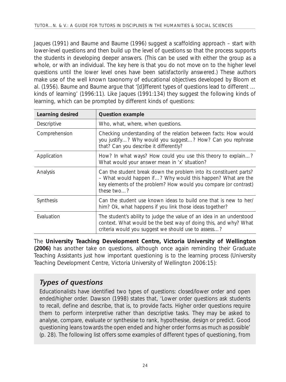Jaques (1991) and Baume and Baume (1996) suggest a scaffolding approach – start with lower-level questions and then build up the level of questions so that the process supports the students in developing deeper answers. (This can be used with either the group as a whole, or with an individual. The key here is that you do not move on to the higher level questions until the lower level ones have been satisfactorily answered.) These authors make use of the well known taxonomy of educational objectives developed by Bloom *et al*. (1956). Baume and Baume argue that '[d]ifferent types of questions lead to different … kinds of learning' (1996:11). Like Jaques (1991:134) they suggest the following kinds of learning, which can be prompted by different kinds of questions:

| Learning desired | <b>Question example</b>                                                                                                                                                                                             |
|------------------|---------------------------------------------------------------------------------------------------------------------------------------------------------------------------------------------------------------------|
| Descriptive      | Who, what, where, when questions.                                                                                                                                                                                   |
| Comprehension    | Checking understanding of the relation between facts: How would<br>you justify? Why would you suggest? How? Can you rephrase<br>that? Can you describe it differently?                                              |
| Application      | How? In what ways? How could you use this theory to explain?<br>What would your answer mean in 'x' situation?                                                                                                       |
| Analysis         | Can the student break down the problem into its constituent parts?<br>- What would happen if? Why would this happen? What are the<br>key elements of the problem? How would you compare (or contrast)<br>these two? |
| Synthesis        | Can the student use known ideas to build one that is new to her/<br>him? Ok, what happens if you link those ideas together?                                                                                         |
| Evaluation       | The student's ability to judge the value of an idea in an understood<br>context. What would be the best way of doing this, and why? What<br>criteria would you suggest we should use to assess?                     |

The **University Teaching Development Centre, Victoria University of Wellington (2006)** has another take on questions, although once again reminding their Graduate Teaching Assistants just how important questioning is to the learning process (University Teaching Development Centre, Victoria University of Wellington 2006:15):

#### *Types of questions*

Educationalists have identified two types of questions: closed/lower order and open ended/higher order. Dawson (1998) states that, 'Lower order questions ask students to recall, define and describe, that is, to provide facts. Higher order questions require them to perform interpretive rather than descriptive tasks. They may be asked to analyse, compare, evaluate or synthesise to rank, hypothesise, design or predict. Good questioning leans towards the open ended and higher order forms as much as possible' (p. 28). The following list offers some examples of different types of questioning, from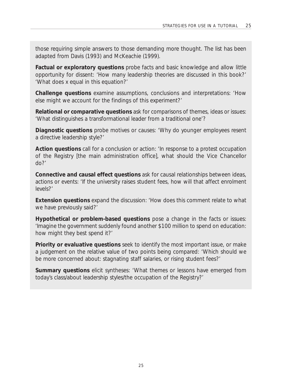those requiring simple answers to those demanding more thought. The list has been adapted from Davis (1993) and McKeachie (1999).

**Factual or exploratory questions** probe facts and basic knowledge and allow little opportunity for dissent: 'How many leadership theories are discussed in this book?' 'What does x equal in this equation?'

**Challenge questions** examine assumptions, conclusions and interpretations: 'How else might we account for the findings of this experiment?'

**Relational or comparative questions** ask for comparisons of themes, ideas or issues: 'What distinguishes a transformational leader from a traditional one'?

**Diagnostic questions** probe motives or causes: 'Why do younger employees resent a directive leadership style?'

**Action questions** call for a conclusion or action: 'In response to a protest occupation of the Registry [the main administration office], what should the Vice Chancellor do?'

**Connective and causal effect questions** ask for causal relationships between ideas, actions or events: 'If the university raises student fees, how will that affect enrolment levels?'

**Extension questions** expand the discussion: 'How does this comment relate to what we have previously said?'

**Hypothetical or problem-based questions** pose a change in the facts or issues: 'Imagine the government suddenly found another \$100 million to spend on education: how might they best spend it?'

**Priority or evaluative questions** seek to identify the most important issue, or make a judgement on the relative value of two points being compared: 'Which should we be more concerned about: stagnating staff salaries, or rising student fees?'

**Summary questions** elicit syntheses: 'What themes or lessons have emerged from today's class/about leadership styles/the occupation of the Registry?'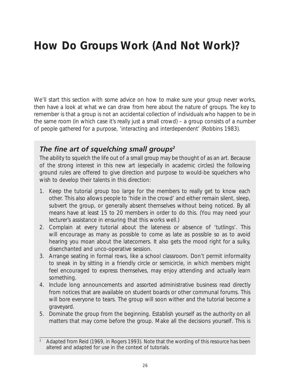# **How Do Groups Work (And Not Work)?**

We'll start this section with some advice on how to make sure your group never works, then have a look at what we can draw from here about the nature of groups. The key to remember is that a group is not an accidental collection of individuals who happen to be in the same room (in which case it's really just a small crowd) – a group consists of a number of people gathered for a purpose, 'interacting and interdependent' (Robbins 1983).

#### *The fine art of squelching small groups2*

The ability to squelch the life out of a small group may be thought of as an art. Because of the strong interest in this new art (especially in academic circles) the following ground rules are offered to give direction and purpose to would-be squelchers who wish to develop their talents in this direction:

- 1. Keep the tutorial group too large for the members to really get to know each other. This also allows people to 'hide in the crowd' and either remain silent, sleep, subvert the group, or generally absent themselves without being noticed. By all means have at least 15 to 20 members in order to do this. (You may need your lecturer's assistance in ensuring that this works well.)
- 2. Complain at every tutorial about the lateness or absence of 'tutlings'. This will encourage as many as possible to come as late as possible so as to avoid hearing you moan about the latecomers. It also gets the mood right for a sulky, disenchanted and unco-operative session.
- 3. Arrange seating in formal rows, like a school classroom. Don't permit informality to sneak in by sitting in a friendly circle or semicircle, in which members might feel encouraged to express themselves, may enjoy attending and actually learn something.
- 4. Include long announcements and assorted administrative business read directly from notices that are available on student boards or other communal forums. This will bore everyone to tears. The group will soon wither and the tutorial become a graveyard.
- 5. Dominate the group from the beginning. Establish yourself as the authority on all matters that may come before the group. Make all the decisions yourself. This is

<sup>2</sup> Adapted from Reid (1969, in Rogers 1993). Note that the wording of this resource has been altered and adapted for use in the context of tutorials.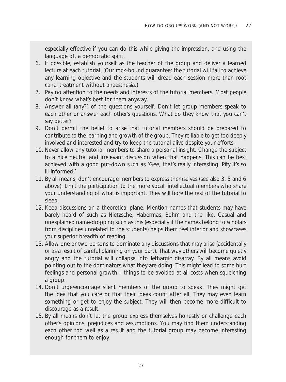especially effective if you can do this while giving the impression, and using the language of, a democratic spirit.

- 6. If possible, establish yourself as the teacher of the group and deliver a learned lecture at each tutorial. (Our rock-bound guarantee: the tutorial will fail to achieve any learning objective and the students will dread each session more than root canal treatment without anaesthesia.)
- 7. Pay no attention to the needs and interests of the tutorial members. Most people don't know what's best for them anyway.
- 8. Answer all (any?) of the questions yourself. Don't let group members speak to each other or answer each other's questions. What do they know that you can't say better?
- 9. Don't permit the belief to arise that tutorial members should be prepared to contribute to the learning and growth of the group. They're liable to get too deeply involved and interested and try to keep the tutorial alive despite your efforts.
- 10. Never allow any tutorial members to share a personal insight. Change the subject to a nice neutral and irrelevant discussion when that happens. This can be best achieved with a good put-down such as 'Gee, that's really interesting. Pity it's so ill-informed.'
- 11. By all means, don't encourage members to express themselves (see also 3, 5 and 6 above). Limit the participation to the more vocal, intellectual members who share your understanding of what is important. They will bore the rest of the tutorial to sleep.
- 12. Keep discussions on a theoretical plane. Mention names that students may have barely heard of such as Nietzsche, Habermas, Bohm and the like. Casual and unexplained name-dropping such as this (especially if the names belong to scholars from disciplines unrelated to the students) helps them feel inferior and showcases your superior breadth of reading.
- 13. Allow one or two persons to dominate any discussions that may arise (accidentally or as a result of careful planning on your part). That way others will become quietly angry and the tutorial will collapse into lethargic disarray. By all means avoid pointing out to the dominators what they are doing. This might lead to some hurt feelings and personal growth – things to be avoided at all costs when squelching a group.
- 14. Don't urge/encourage silent members of the group to speak. They might get the idea that you care or that their ideas count after all. They may even learn something or get to enjoy the subject. They will then become more difficult to discourage as a result.
- 15. By all means don't let the group express themselves honestly or challenge each other's opinions, prejudices and assumptions. You may find them understanding each other too well as a result and the tutorial group may become interesting enough for them to enjoy.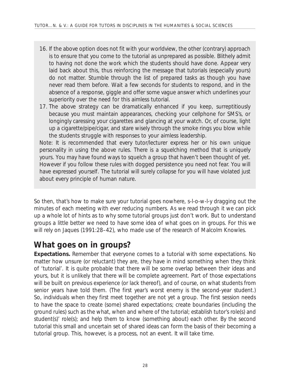- 16. If the above option does not fit with your worldview, the other (contrary) approach is to ensure that you come to the tutorial as unprepared as possible. Blithely admit to having not done the work which the students should have done. Appear very laid back about this, thus reinforcing the message that tutorials (especially yours) do not matter. Stumble through the list of prepared tasks as though you have never read them before. Wait a few seconds for students to respond, and in the absence of a response, giggle and offer some vague answer which underlines your superiority over the need for this aimless tutorial.
- 17. The above strategy can be dramatically enhanced if you keep, surreptitiously because you must maintain appearances, checking your cellphone for SMS's, or longingly caressing your cigarettes and glancing at your watch. Or, of course, light up a cigarette/pipe/cigar, and stare wisely through the smoke rings you blow while the students struggle with responses to your aimless leadership.

*Note*: It is recommended that every tutor/lecturer express her or his own unique personality in using the above rules. There is a squelching method that is uniquely yours. You may have found ways to squelch a group that haven't been thought of yet. However if you follow these rules with dogged persistence you need not fear. You will have expressed yourself. The tutorial will surely collapse for you will have violated just about every principle of human nature.

So then, that's how to make sure your tutorial goes nowhere, s-l-o-w-l-y dragging out the minutes of each meeting with ever reducing numbers. As we read through it we can pick up a whole lot of hints as to why some tutorial groups just don't work. But to understand groups a little better we need to have some idea of what goes on in groups. For this we will rely on Jaques (1991:28–42), who made use of the research of Malcolm Knowles.

### **What goes on in groups?**

**Expectations.** Remember that everyone comes to a tutorial with some expectations. No matter how unsure (or reluctant) they are, they have in mind something when they think of 'tutorial'. It is quite probable that there will be some overlap between their ideas and yours, but it is unlikely that there will be complete agreement. Part of those expectations will be built on previous experience (or lack thereof), and of course, on what students from senior years have told them. (The first year's worst enemy is the second-year student.) So, individuals when they first meet together *are not yet a group*. The first session needs to have the space to create (some) shared expectations; create boundaries (including the ground rules) such as the what, when and where of the tutorial; establish tutor's role(s) and student(s)' role(s); and help them to know (something about) each other. By the second tutorial this small and uncertain set of shared ideas can form the basis of their becoming a tutorial group. This, however, is a process, not an event. It will take time.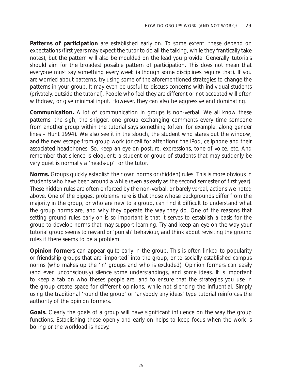**Patterns of participation** are established early on. To some extent, these depend on expectations (first years may expect the tutor to do all the talking, while they frantically take notes), but the pattern will also be moulded on the lead you provide. Generally, tutorials should aim for the broadest possible pattern of participation. This does not mean that everyone must say something every week (although some disciplines require that). If you are worried about patterns, try using some of the aforementioned strategies to change the patterns in your group. It may even be useful to discuss concerns with individual students (privately, outside the tutorial). People who feel they are different or not accepted will often withdraw, or give minimal input. However, they can also be aggressive and dominating.

**Communication.** A lot of communication in groups is non-verbal. We all know these patterns: the sigh, the snigger, one group exchanging comments every time someone from another group within the tutorial says something (often, for example, along gender lines – Hunt 1994). We also see it in the slouch, the student who stares out the window, and the new escape from group work (or call for attention): the iPod, cellphone and their associated headphones. So, keep an eye on posture, expressions, tone of voice, etc. And remember that silence is eloquent: a student or group of students that may suddenly be very quiet is normally a 'heads-up' for the tutor.

**Norms.** Groups quickly establish their own norms or (hidden) rules. This is more obvious in students who have been around a while (even as early as the second semester of first year). These hidden rules are often enforced by the non-verbal, or barely verbal, actions we noted above. One of the biggest problems here is that those whose backgrounds differ from the majority in the group, or who are new to a group, can find it difficult to understand what the group norms are, and why they operate the way they do. One of the reasons that setting ground rules early on is so important is that it serves to establish a basis for the group to develop norms that may support learning. Try and keep an eye on the way your tutorial group seems to reward or 'punish' behaviour, and think about revisiting the ground rules if there seems to be a problem.

**Opinion formers** can appear quite early in the group. This is often linked to popularity or friendship groups that are 'imported' into the group, or to socially established campus norms (who makes up the 'in' groups and who is excluded). Opinion formers can easily (and even unconsciously) silence some understandings, and some ideas. It is important to keep a tab on who theses people are, and to ensure that the strategies you use in the group create space for different opinions, while not silencing the influential. Simply using the traditional 'round the group' or 'anybody any ideas' type tutorial reinforces the authority of the opinion formers.

**Goals.** Clearly the goals of a group will have significant influence on the way the group functions. Establishing these openly and early on helps to keep focus when the work is boring or the workload is heavy.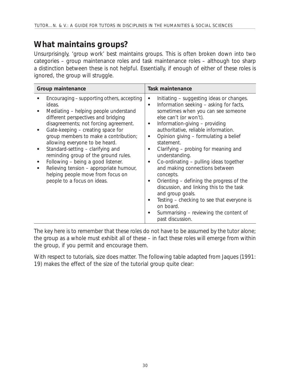### **What maintains groups?**

Unsurprisingly, 'group work' best maintains groups. This is often broken down into two categories – *group maintenance roles* and *task maintenance roles –* although too sharp a distinction between these is not helpful. Essentially, if enough of either of these roles is ignored, the group will struggle.

| Group maintenance                                                                                                                                                                                                                                                                                                                                                                                                                                                                                                               | <b>Task maintenance</b>                                                                                                                                                                                                                                                                                                                                                                                                                                                                                                                                                                                                                                                                                                                                                  |  |
|---------------------------------------------------------------------------------------------------------------------------------------------------------------------------------------------------------------------------------------------------------------------------------------------------------------------------------------------------------------------------------------------------------------------------------------------------------------------------------------------------------------------------------|--------------------------------------------------------------------------------------------------------------------------------------------------------------------------------------------------------------------------------------------------------------------------------------------------------------------------------------------------------------------------------------------------------------------------------------------------------------------------------------------------------------------------------------------------------------------------------------------------------------------------------------------------------------------------------------------------------------------------------------------------------------------------|--|
| Encouraging – supporting others, accepting<br>ideas.<br>Mediating - helping people understand<br>different perspectives and bridging<br>disagreements; not forcing agreement.<br>Gate-keeping – creating space for<br>group members to make a contribution;<br>allowing everyone to be heard.<br>Standard-setting - clarifying and<br>reminding group of the ground rules.<br>Following - being a good listener.<br>Relieving tension - appropriate humour,<br>helping people move from focus on<br>people to a focus on ideas. | Initiating – suggesting ideas or changes.<br>$\bullet$<br>Information seeking - asking for facts,<br>$\bullet$<br>sometimes when you can see someone<br>else can't (or won't).<br>Information-giving - providing<br>$\bullet$<br>authoritative, reliable information.<br>Opinion giving - formulating a belief<br>$\bullet$<br>statement.<br>Clarifying – probing for meaning and<br>$\bullet$<br>understanding.<br>Co-ordinating - pulling ideas together<br>$\bullet$<br>and making connections between<br>concepts.<br>Orienting – defining the progress of the<br>$\bullet$<br>discussion, and linking this to the task<br>and group goals.<br>Testing - checking to see that everyone is<br>on board.<br>Summarising – reviewing the content of<br>past discussion. |  |

The key here is to remember that these roles do not have to be assumed by the tutor alone; the group as a whole must exhibit all of these – in fact these roles will emerge from within the group, if you permit and encourage them.

With respect to tutorials, size does matter. The following table adapted from Jaques (1991: 19) makes the effect of the size of the tutorial group quite clear: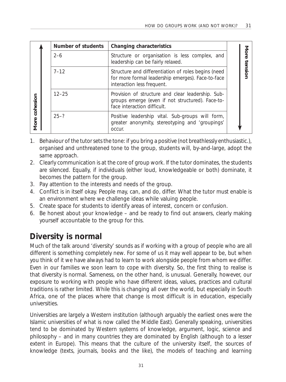|                  |          | <b>Number of students</b>                                                                                                              | Changing characteristics                                                                                                             |  |
|------------------|----------|----------------------------------------------------------------------------------------------------------------------------------------|--------------------------------------------------------------------------------------------------------------------------------------|--|
| cohesion<br>More |          | $2 - 6$                                                                                                                                | Structure or organisation is less complex, and<br>leadership can be fairly relaxed.                                                  |  |
|                  | $7 - 12$ | Structure and differentiation of roles begins (need<br>for more formal leadership emerges). Face-to-face<br>interaction less frequent. | ension                                                                                                                               |  |
|                  |          | $12 - 25$                                                                                                                              | Provision of structure and clear leadership. Sub-<br>groups emerge (even if not structured). Face-to-<br>face interaction difficult. |  |
|                  |          | $25 - ?$                                                                                                                               | Positive leadership vital. Sub-groups will form,<br>greater anonymity, stereotyping and 'groupings'<br>occur.                        |  |

- 1. Behaviour of the tutor sets the tone: if you bring a positive (not breathlessly enthusiastic.), organised and unthreatened tone to the group, students will, by-and-large, adopt the same approach.
- 2. Clearly communication is at the core of group work. If the tutor dominates, the students are silenced. Equally, if individuals (either loud, knowledgeable or both) dominate, it becomes the pattern for the group.
- 3. Pay attention to the interests and needs of the group.
- 4. Conflict is in itself okay. People may, can, and do, differ. What the tutor must enable is an environment where we challenge ideas while valuing people.
- 5. Create space for students to identify areas of interest, concern or confusion.
- 6. Be honest about your knowledge and be ready to find out answers, clearly making yourself accountable to the group for this.

# **Diversity is normal**

Much of the talk around 'diversity' sounds as if working with a group of people who are all different is something completely new. For some of us it may well appear to be, but when you think of it we have always had to learn to work alongside people from whom we differ. Even in our families we soon learn to cope with diversity. So, the first thing to realise is that diversity is normal. Sameness, on the other hand, *is* unusual. Generally, however, our exposure to working with people who have different ideas, values, practices and cultural traditions is rather limited. While this is changing all over the world, but especially in South Africa, one of the places where that change is most difficult is in education, especially universities.

Universities are largely a Western institution (although arguably the earliest ones were the Islamic universities of what is now called the Middle East). Generally speaking, universities tend to be dominated by Western systems of knowledge, argument, logic, science and philosophy – and in many countries they are dominated by English (although to a lesser extent in Europe). This means that the culture of the university itself, the sources of knowledge (texts, journals, books and the like), the models of teaching and learning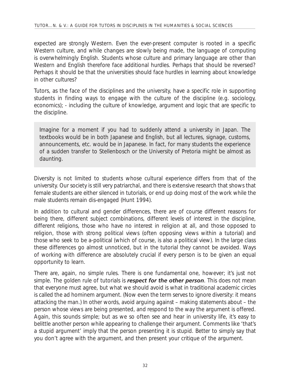expected are strongly Western. Even the ever-present computer is rooted in a specific Western culture, and while changes are slowly being made, the language of computing is overwhelmingly English. Students whose culture and primary language are other than Western and English therefore face additional hurdles. Perhaps that should be reversed? Perhaps it should be that the universities should face hurdles in learning about knowledge in other cultures?

Tutors, as the face of the disciplines and the university, have a specific role in supporting students in finding ways to engage with the culture of the discipline (e.g. sociology, economics); - including the culture of knowledge, argument and logic that are specific to the discipline.

Imagine for a moment if you had to suddenly attend a university in Japan. The textbooks would be in both Japanese and English, but all lectures, signage, customs, announcements, etc. would be in Japanese. In fact, for many students the experience of a sudden transfer to Stellenbosch or the University of Pretoria might be almost as daunting.

Diversity is not limited to students whose cultural experience differs from that of the university. Our society is still very patriarchal, and there is extensive research that shows that female students are either silenced in tutorials, or end up doing most of the work while the male students remain dis-engaged (Hunt 1994).

In addition to cultural and gender differences, there are of course different reasons for being there, different subject combinations, different levels of interest in the discipline, different religions, those who have no interest in religion at all, and those opposed to religion, those with strong political views (often opposing views within a tutorial) and those who seek to be a-political (which of course, is also a political view). In the large class these differences go almost unnoticed, but in the tutorial they cannot be avoided. Ways of working with difference are absolutely crucial if every person is to be given an equal opportunity to learn.

There are, again, no simple rules. There is one fundamental one, however; it's just not simple. The golden rule of tutorials is *respect for the other person*. This does not mean that everyone must agree, but what we should avoid is what in traditional academic circles is called the *ad hominem* argument. (Now even the term serves to ignore diversity: it means attacking the man.) In other words, avoid arguing against – making statements about – the person whose views are being presented, and respond to the way the argument is offered. Again, this sounds simple; but as we so often see and hear in university life, it's easy to belittle another person while appearing to challenge their argument. Comments like 'that's a stupid argument' imply that the person presenting it is stupid. Better to simply say that you don't agree with the argument, and then present your critique *of the argument*.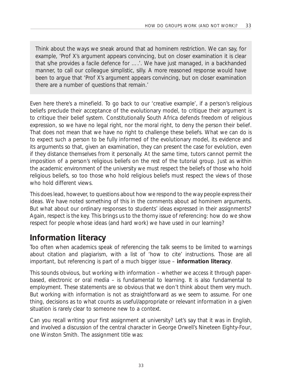Think about the ways we sneak around that *ad hominem* restriction. We can say, for example, 'Prof X's argument appears convincing, but on closer examination it is clear that s/he provides a facile defence for ….'. We have just managed, in a backhanded manner, to call our colleague simplistic, silly. A more reasoned response would have been to argue that 'Prof X's argument appears convincing, but on closer examination there are a number of questions that remain.'

Even here there's a minefield. To go back to our 'creative example', if a person's religious beliefs preclude their acceptance of the evolutionary model, to critique their argument is to critique their belief system. Constitutionally South Africa defends freedom of religious expression, so we have no legal right, nor the moral right, to deny the person their belief. That does not mean that we have no right to challenge these beliefs. What we can do is to expect such a person to be fully informed of the evolutionary model, its evidence and its arguments so that, given an examination, they can present the case for evolution, even if they distance themselves from it personally. At the same time, tutors cannot permit the imposition of a person's religious beliefs on the rest of the tutorial group. Just as within the academic environment of the university we must respect the beliefs of those who hold religious beliefs, so too those who hold religious beliefs must respect the views of those who hold different views.

This does lead, however, to questions about how we respond to the way people express their ideas. We have noted something of this in the comments about *ad hominem* arguments. But what about our ordinary responses to students' ideas expressed in their assignments? Again, respect is the key. This brings us to the thorny issue of referencing: how do we show respect for people whose ideas (and hard work) we have used in our learning?

# **Information literacy**

Too often when academics speak of referencing the talk seems to be limited to warnings about citation and plagiarism, with a list of 'how to cite' instructions. Those are all important, but referencing is part of a much bigger issue – **information literacy**.

This sounds obvious, but working with information – whether we access it through paperbased, electronic or oral media – is fundamental to learning. It is also fundamental to employment. These statements are so obvious that we don't think about them very much. But working with information is not as straightforward as we seem to assume. For one thing, decisions as to what counts as useful/appropriate or relevant information in a given situation is rarely clear to someone new to a context.

Can you recall writing your first assignment at university? Let's say that it was in English, and involved a discussion of the central character in George Orwell's *Nineteen Eighty-Four*, one Winston Smith. The assignment title was: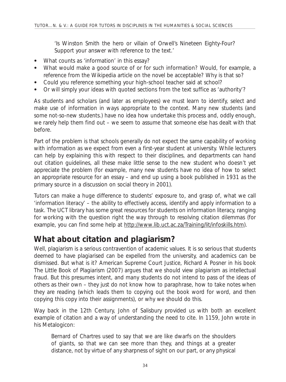'Is Winston Smith the hero or villain of Orwell's *Nineteen Eighty-Four*? Support your answer with reference to the text.'

- What counts as 'information' in this essay?
- What would make a good source of or for such information? Would, for example, a reference from the Wikipedia article on the novel be acceptable? Why is that so?
- Could you reference something your high-school teacher said at school?
- Or will simply your ideas with quoted sections from the text suffice as 'authority'?

As students and scholars (and later as employees) we must learn to identify, select and make use of information in ways appropriate to the context. Many new students (and some not-so-new students.) have no idea how undertake this process and, oddly enough, we rarely help them find out – we seem to assume that someone else has dealt with that before.

Part of the problem is that schools generally do not expect the same capability of working with information as we expect from even a first-year student at university. While lecturers can help by explaining this with respect to their disciplines, and departments can hand out citation guidelines, all these make little sense to the new student who doesn't yet appreciate the problem (for example, many new students have no idea of how to select an appropriate resource for an essay – and end up using a book published in 1931 as the primary source in a discussion on social theory in 2001).

Tutors can make a huge difference to students' exposure to, and grasp of, what we call 'information literacy' – the ability to effectively access, identify and apply information to a task. The UCT library has some great resources for students on information literacy, ranging for working with the question right the way through to resolving citation dilemmas (for example, you can find some help at http://www.lib.uct.ac.za/Training/lit/infoskills.htm).

### **What about citation and plagiarism?**

Well, plagiarism is a serious contravention of academic values. It is so serious that students deemed to have plagiarised can be expelled from the university, and academics can be dismissed. But what is it? American Supreme Court Justice, Richard A Posner in his book *The Little Book of Plagiarism* (2007) argues that we should view plagiarism as *intellectual fraud*. But this presumes intent, and many students do not intend to pass of the ideas of others as their own – they just do not know how to paraphrase, how to take notes when they are reading (which leads them to copying out the book word for word, and then copying this copy into their assignments), or why we should do this.

Way back in the 12th Century, John of Salisbury provided us with both an excellent example of citation and a way of understanding the need to cite. In 1159, John wrote in his *Metalogicon*:

*Bernard of Chartres used to say that we are like dwarfs on the shoulders of giants, so that we can see more than they, and things at a greater distance, not by virtue of any sharpness of sight on our part, or any physical*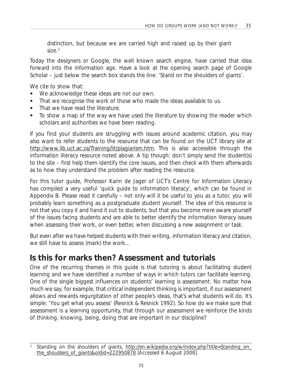*distinction, but because we are carried high and raised up by their giant size.*<sup>3</sup>

Today the designers or Google, the well known search engine, have carried that idea forward into the information age. Have a look at the opening search page of Google Scholar – just below the search box stands the line: 'Stand on the shoulders of giants'.

We cite to show that:

- We acknowledge these ideas are not our own.
- That we recognise the work of those who made the ideas available to us.
- That we have read the literature.
- To show a map of the way we have used the literature by showing the reader which scholars and authorities we have been reading.

If you find your students are struggling with issues around academic citation, you may also want to refer students to the resource that can be found on the UCT library site at http://www.lib.uct.ac.za/Training/lit/plagiarism.htm. This is also accessible through the information literacy resource noted above. A tip though: don't simply send the student(s) to the site – first help them identify the core issues, and then check with them afterwards as to how they understand the problem after reading the resource.

For this tutor guide, Professor Karin de Jager of UCT's Centre for Information Literacy has compiled a very useful 'quick guide to information literacy', which can be found in Appendix B. Please read it carefully – not only will it be useful to you as a tutor, you will probably learn something as a postgraduate student yourself. The idea of this resource is not that you copy it and hand it out to students, but that you become more aware yourself of the issues facing students and are able to better identify the information literacy issues when assessing their work, or even better, when discussing a new assignment or task.

But even after we have helped students with their writing, information literacy and citation, we still have to assess (mark) the work…

### **Is this for marks then? Assessment and tutorials**

One of the recurring themes in this guide is that tutoring is about facilitating student learning and we have identified a number of ways in which tutors can facilitate learning. One of the single biggest influences on students' learning is assessment. No matter how much we *say*, for example, that critical independent thinking is important, if our assessment allows and rewards regurgitation of other people's ideas, that's what students will do. It's simple: 'You get what you assess' (Resnick & Resnick 1992). So how do we make sure that assessment is a *learning* opportunity, that through our assessment we reinforce the kinds of thinking, knowing, being, doing that are important in our discipline?

Standing on the shoulders of giants, http://en.wikipedia.org/w/index.php?title=Standing\_on\_ the\_shoulders\_of\_giants&oldid=222950878 [Accessed 6 August 2008].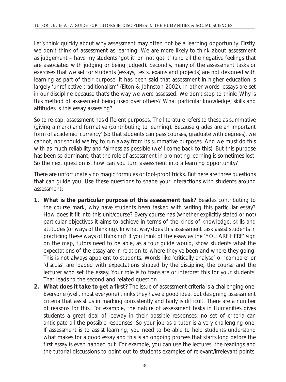Let's think quickly about why assessment may often *not* be a learning opportunity. Firstly, we don't *think* of assessment as learning. We are more likely to think about assessment as judgement – have my students 'got it' or 'not got it' (and all the negative feelings that are associated with judging or being judged). Secondly, many of the assessment tasks or exercises that we set for students (essays, tests, exams and projects) are not designed with learning as part of their purpose. It has been said that assessment in higher education is largely 'unreflective traditionalism' (Elton & Johnston 2002). In other words, essays are set in our discipline because that's the way we were assessed. We don't stop to think: Why is this method of assessment being used over others? What particular knowledge, skills and attitudes is this essay assessing?

So to re-cap, assessment has different purposes. The literature refers to these as summative (giving a mark) and formative (contributing to learning). Because grades are an important form of academic 'currency' (so that students can pass courses, graduate with degrees), we cannot, nor should we try, to run away from its summative purposes. And we must do this with as much reliability and fairness as possible (we'll come back to this). But this purpose has been so dominant, that the role of assessment in promoting learning is sometimes lost. So the next question is, how can you turn assessment into a learning opportunity?

There are unfortunately no magic formulas or fool-proof tricks. But here are three questions that can guide you. Use these questions to shape your interactions with students around assessment:

- **1. What is the particular purpose of this assessment task?** Besides contributing to the course mark, why have students been tasked with writing this particular essay? How does it fit into this unit/course? Every course has (whether explicitly stated or not) particular objectives it aims to achieve in terms of the kinds of knowledge, skills and attitudes (or ways of thinking). In what way does this assessment task assist students in *practicing* these ways of thinking? If you think of the essay as the 'YOU ARE HERE' sign on the map, tutors need to be able, as a tour guide would, show students what the expectations of the essay are in relation to where they've been and where they going. This is not always apparent to students. Words like 'critically analyse' or 'compare' or 'discuss' are loaded with expectations shaped by the discipline, the course and the lecturer who set the essay. Your role is to translate or interpret this for your students. That leads to the second and related question…
- **2. What does it take to get a first?** The issue of assessment criteria is a challenging one. Everyone (well, most everyone) thinks they have a good idea, but designing assessment criteria that assist us in marking consistently and fairly is difficult. There are a number of reasons for this. For example, the nature of assessment tasks in Humanities gives students a great deal of leeway in their possible responses; no set of criteria can anticipate all the possible responses. So your job as a tutor is a very challenging one. If assessment is to assist learning, you need to be able to help students understand what makes for a good essay and this is an ongoing process that starts long before the first essay is even handed out. For example, you can use the lectures, the readings and the tutorial discussions to point out to students examples of relevant/irrelevant points,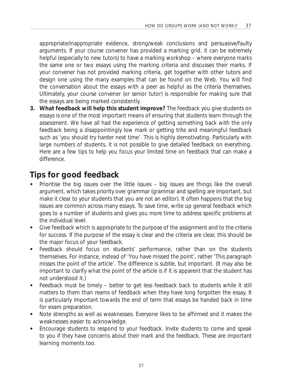appropriate/inappropriate evidence, strong/weak conclusions and persuasive/faulty arguments. If your course convener has provided a marking grid, it can be extremely helpful (especially to new tutors) to have a marking workshop – where everyone marks the same one or two essays using the marking criteria and discusses their marks. If your convener has not provided marking criteria, get together with other tutors and design one using the many examples that can be found on the Web. You will find the conversation about the essays with a peer as helpful as the criteria themselves. Ultimately, your course convener (or senior tutor) is responsible for making sure that the essays are being marked consistently.

**3. What feedback will help this student improve?** The feedback you give students on essays is one of the most important means of ensuring that students learn through the assessment. We have all had the experience of getting something back with the *only* feedback being a disappointingly low mark or getting trite and meaningful feedback such as 'you should try harder next time'. This is highly demotivating. Particularly with large numbers of students, it is not possible to give detailed feedback on everything. Here are a few tips to help you focus your limited time on feedback that can make a difference.

### **Tips for good feedback**

- Prioritise the big issues over the little issues big issues are things like the overall argument, which takes priority over grammar (grammar and spelling are important, but make it clear to your students that you are not an editor). It often happens that the big issues are common across many essays. To save time, write up general feedback which goes to a number of students and gives you more time to address specific problems at the individual level.
- Give feedback which is appropriate to the purpose of the assignment and to the criteria for success. If the purpose of the essay is clear and the criteria are clear, this should be the major focus of your feedback.
- Feedback should focus on students' performance, rather than on the students themselves. For instance, instead of 'You have missed the point', rather 'This paragraph misses the point of the article'. The difference is subtle, but important. (It may also be important to clarify what the point of the article *is* if it is apparent that the student has not understood it.)
- Feedback must be timely better to get less feedback back to students while it still matters to them than reams of feedback when they have long forgotten the essay. It is particularly important towards the end of term that essays be handed back in time for exam preparation.
- Note strengths as well as weaknesses. Everyone likes to be affirmed and it makes the weaknesses easier to acknowledge.
- Encourage students to respond to your feedback. Invite students to come and speak to you if they have concerns about their mark and the feedback. These are important learning moments too.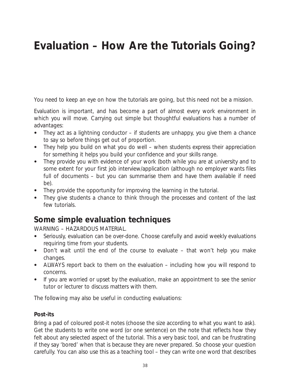# **Evaluation – How Are the Tutorials Going?**

You need to keep an eye on how the tutorials are going, but this need not be a mission.

Evaluation is important, and has become a part of almost every work environment in which you will move. Carrying out simple but thoughtful evaluations has a number of advantages:

- They act as a lightning conductor if students are unhappy, you give them a chance to say so before things get out of proportion.
- They help you build on what you do well when students express their appreciation for something it helps you build your confidence and your skills range.
- They provide you with evidence of your work (both while you are at university and to some extent for your first job interview/application (although no employer wants files full of documents – but you can summarise them and have them available if need be).
- They provide the opportunity for improving the learning in the tutorial.
- They give students a chance to think through the processes and content of the last few tutorials.

### **Some simple evaluation techniques**

WARNING – HAZARDOUS MATERIAL.

- Seriously, evaluation can be over-done. Choose carefully and avoid weekly evaluations requiring time from your students.
- Don't wait until the end of the course to evaluate that won't help you make changes.
- ALWAYS report back to them on the evaluation including how you will respond to concerns.
- If you are worried or upset by the evaluation, make an appointment to see the senior tutor or lecturer to discuss matters with them.

The following may also be useful in conducting evaluations:

#### **Post-its**

Bring a pad of coloured post-it notes (choose the size according to what you want to ask). Get the students to write one word (or one sentence) on the note that reflects how they felt about any selected aspect of the tutorial. This a very basic tool, and can be frustrating if they say 'bored' when that is because they are never prepared. So choose your question carefully. You can also use this as a teaching tool – they can write one word that describes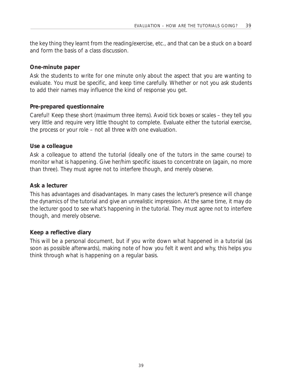the key thing they learnt from the reading/exercise, etc., and that can be a stuck on a board and form the basis of a class discussion.

#### **One-minute paper**

Ask the students to write for one minute only about the aspect that you are wanting to evaluate. You must be specific, and keep time carefully. Whether or not you ask students to add their names may influence the kind of response you get.

#### **Pre-prepared questionnaire**

Careful! Keep these short (maximum three items). Avoid tick boxes or scales – they tell you very little and require very little thought to complete. Evaluate either the tutorial exercise, the process or your role – not all three with one evaluation.

#### **Use a colleague**

Ask a colleague to attend the tutorial (ideally one of the tutors in the same course) to monitor what is happening. Give her/him specific issues to concentrate on (again, no more than three). They must agree not to interfere though, and merely observe.

#### **Ask a lecturer**

This has advantages and disadvantages. In many cases the lecturer's presence will change the dynamics of the tutorial and give an unrealistic impression. At the same time, it may do the lecturer good to see what's happening in the tutorial. They must agree not to interfere though, and merely observe.

#### **Keep a reflective diary**

This will be a personal document, but if you write down what happened in a tutorial (as soon as possible afterwards), making note of how you felt it went and why, this helps you think through what is happening on a regular basis.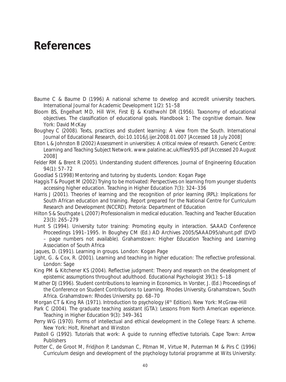# **References**

- Baume C & Baume D (1996) A national scheme to develop and accredit university teachers. *International Journal for Academic Development* 1(2): 51–58
- Bloom BS, Engelhart MD, Hill WH, First EJ & Krathwohl DR (1956). *Taxonomy of educational objectives. The classification of educational goals. Handbook 1: The cognitive domain*. New York: David McKay
- Boughey C (2008). Texts, practices and student learning: A view from the South. *International Journal of Educational Research*, doi:10.1016/j.ijer.2008.01.007 [Accessed 18 July 2008]
- Elton L & Johnston B (2002) Assessment in universities: A critical review of research. Generic Centre: Learning and Teaching Subject Network. www.palatine.ac.uk/files/935.pdf [Accessed 20 August 2008]
- Felder RM & Brent R (2005). Understanding student differences. *Journal of Engineering Education*  94(1): 57–72
- Goodlad S (1998) *Mentoring and tutoring by students*. London: Kogan Page
- Haggis T & Pouget M (2002) Trying to be motivated: Perspectives on learning from younger students accessing higher education. *Teaching in Higher Education* 7(3): 324–336
- Harris J (2001). Theories of learning and the recognition of prior learning (RPL): Implications for South African education and training. *Report prepared for the National Centre for Curriculum Research and Development (NCCRD)*. Pretoria: Department of Education
- Hilton S & Southgate L (2007) Professionalism in medical education. *Teaching and Teacher Education* 23(3): 265–279
- Hunt S (1994). University tutor training: Promoting equity in interaction. SAAAD Conference Proceedings 1991–1995. In Boughey CM (Ed.) *AD Archives* 2005/SAAAD95/ahunt.pdf (DVD – page numbers not available). Grahamstown: Higher Education Teaching and Learning Association of South Africa
- Jaques, D. (1991). *Learning in groups.* London: Kogan Page
- Light, G. & Cox, R. (2001). *Learning and teaching in higher education: The reflective professional.* London: Sage
- King PM & Kitchener KS (2004). Reflective judgment: Theory and research on the development of epistemic assumptions throughout adulthood. *Educational Psychologist* 39(1): 5–18
- Mather DJ (1996). Student contributions to learning in Economics. In Vorster, J. (Ed.) *Proceedings of the Conference on Student Contributions to Learning*. Rhodes University, Grahamstown, South Africa. Grahamstown: Rhodes University. pp. 68–70
- Morgan CT & King RA (1971). *Introduction to psychology* (4<sup>th</sup> Edition). New York: McGraw-Hill
- Park C (2004). The graduate teaching assistant (GTA): Lessons from North American experience. *Teaching in Higher Education* 9(3): 349–361
- Perry WG (1970). *Forms of intellectual and ethical development in the College Years: A scheme.*  New York: Holt, Rinehart and Winston
- Pastoll G (1992). *Tutorials that work: A guide to running effective tutorials*. Cape Town: Arrow **Publishers**
- Potter C, de Groot M, Fridjhon P, Landsman C, Pitman M, Virtue M, Puterman M & Pirs C (1996) Curriculum design and development of the psychology tutorial programme at Wits University: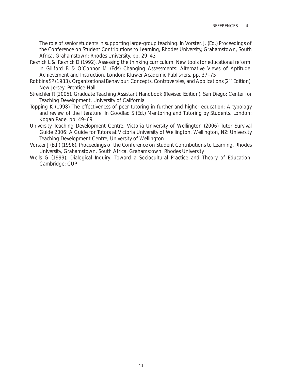The role of senior students in supporting large-group teaching. In Vorster, J. (Ed.) *Proceedings of the Conference on Student Contributions to Learning*, Rhodes University, Grahamstown, South Africa. Grahamstown: Rhodes University. pp. 29–43

- Resnick L & Resnick D (1992). Assessing the thinking curriculum: New tools for educational reform. In Gillford B & O'Connor M (Eds) *Changing Assessments: Alternative Views of Aptitude, Achievement and Instruction*. London: Kluwer Academic Publishers. pp. 37–75
- Robbins SP (1983). *Organizational Behaviour: Concepts, Controversies, and Applications* (2nd Edition). New Jersey: Prentice-Hall
- Streichler R (2005). *Graduate Teaching Assistant Handbook* (Revised Edition). San Diego: Center for Teaching Development, University of California
- Topping K (1998) The effectiveness of peer tutoring in further and higher education: A typology and review of the literature. In Goodlad S (Ed.) *Mentoring and Tutoring by Students*. London: Kogan Page. pp. 49–69
- University Teaching Development Centre, Victoria University of Wellington (2006) *Tutor Survival Guide 2006: A Guide for Tutors at Victoria University of Wellington*. Wellington, NZ: University Teaching Development Centre, University of Wellington
- Vorster J (Ed.) (1996). *Proceedings of the Conference on Student Contributions to Learning*, Rhodes University, Grahamstown, South Africa. Grahamstown: Rhodes University
- Wells G (1999). *Dialogical Inquiry: Toward a Sociocultural Practice and Theory of Education*. Cambridge: CUP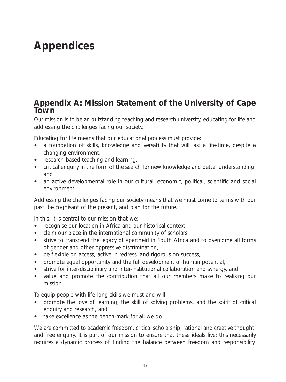# **Appendices**

#### **Appendix A: Mission Statement of the University of Cape Town**

Our mission is to be an outstanding teaching and research university, educating for life and addressing the challenges facing our society.

Educating for life means that our educational process must provide:

- a foundation of skills, knowledge and versatility that will last a life-time, despite a changing environment,
- research-based teaching and learning,
- critical enquiry in the form of the search for new knowledge and better understanding, and
- an active developmental role in our cultural, economic, political, scientific and social environment.

Addressing the challenges facing our society means that we must come to terms with our past, be cognisant of the present, and plan for the future.

In this, it is central to our mission that we:

- recognise our location in Africa and our historical context,
- claim our place in the international community of scholars,
- strive to transcend the legacy of apartheid in South Africa and to overcome all forms of gender and other oppressive discrimination,
- be flexible on access, active in redress, and rigorous on success,
- promote equal opportunity and the full development of human potential,
- strive for inter-disciplinary and inter-institutional collaboration and synergy, and
- value and promote the contribution that all our members make to realising our mission….

To equip people with life-long skills we must and will:

- promote the love of learning, the skill of solving problems, and the spirit of critical enquiry and research, and
- take excellence as the bench-mark for all we do.

We are committed to academic freedom, critical scholarship, rational and creative thought, and free enquiry. It is part of our mission to ensure that these ideals live; this necessarily requires a dynamic process of finding the balance between freedom and responsibility,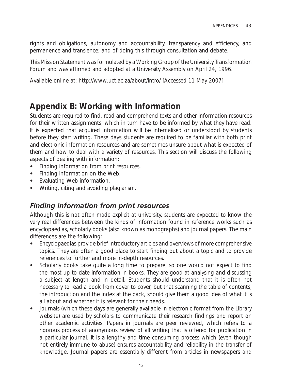rights and obligations, autonomy and accountability, transparency and efficiency, and permanence and transience; and of doing this through consultation and debate.

*This Mission Statement was formulated by a Working Group of the University Transformation Forum and was affirmed and adopted at a University Assembly on April 24, 1996*.

Available online at: http://www.uct.ac.za/about/intro/ [Accessed 11 May 2007]

### **Appendix B: Working with Information**

Students are required to find, read and comprehend texts and other information resources for their written assignments, which in turn have to be informed by what they have read. It is expected that acquired information will be internalised or understood by students before they start writing. These days students are required to be familiar with both print and electronic information resources and are sometimes unsure about what is expected of them and how to deal with a variety of resources. This section will discuss the following aspects of dealing with information:

- Finding information from print resources.
- Finding information on the Web.
- Evaluating Web information.
- Writing, citing and avoiding plagiarism.

#### *Finding information from print resources*

Although this is not often made explicit at university, students are expected to know the very real differences between the kinds of information found in reference works such as encyclopaedias, scholarly books (also known as monographs) and journal papers. The main differences are the following:

- Encyclopaedias provide brief introductory articles and overviews of more comprehensive topics. They are often a good place to start finding out about a topic and to provide references to further and more in-depth resources.
- Scholarly books take quite a long time to prepare, so one would not expect to find the most up-to-date information in books. They are good at analysing and discussing a subject at length and in detail. Students should understand that it is often not necessary to read a book from cover to cover, but that scanning the table of contents, the introduction and the index at the back, should give them a good idea of what it is all about and whether it is relevant for their needs.
- Journals (which these days are generally available in electronic format from the Library website) are used by scholars to communicate their research findings and report on other academic activities. Papers in journals are *peer reviewed*, which refers to a rigorous process of anonymous review of all writing that is offered for publication in a particular journal. It is a lengthy and time consuming process which (even though not entirely immune to abuse) ensures accountability and reliability in the transfer of knowledge. Journal papers are essentially different from articles in newspapers and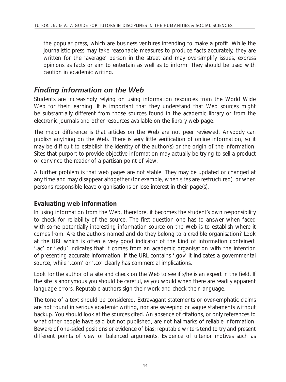the popular press, which are business ventures intending to make a profit. While the journalistic press may take reasonable measures to produce facts accurately, they are written for the 'average' person in the street and may oversimplify issues, express opinions as facts or aim to entertain as well as to inform. They should be used with caution in academic writing.

#### *Finding information on the Web*

Students are increasingly relying on using information resources from the World Wide Web for their learning. It is important that they understand that Web sources might be substantially different from those sources found in the academic library or from the electronic journals and other resources available on the library web page.

The major difference is that articles on the Web are not peer reviewed. Anybody can publish anything on the Web. There is very little verification of online information, so it may be difficult to establish the identity of the author(s) or the origin of the information. Sites that purport to provide objective information may actually be trying to sell a product or convince the reader of a partisan point of view.

A further problem is that web pages are not stable. They may be updated or changed at any time and may disappear altogether (for example, when sites are restructured), or when persons responsible leave organisations or lose interest in their page(s).

#### **Evaluating web information**

In using information from the Web, therefore, it becomes the student's own responsibility to check for reliability of the source. The first question one has to answer when faced with some potentially interesting information source on the Web is to establish where it comes from. Are the authors named and do they belong to a credible organisation? Look at the URL which is often a very good indicator of the kind of information contained: '.ac' or '.edu' indicates that it comes from an academic organisation with the intention of presenting accurate information. If the URL contains '.gov' it indicates a governmental source, while '.com' or '.co' clearly has commercial implications.

Look for the author of a site and check on the Web to see if s/he is an expert in the field. If the site is anonymous you should be careful, as you would when there are readily apparent language errors. Reputable authors sign their work and check their language.

The tone of a text should be considered. Extravagant statements or over-emphatic claims are not found in serious academic writing, nor are sweeping or vague statements without backup. You should look at the sources cited. An absence of citations, or only references to what other people have *said* but not published, are not hallmarks of reliable information. Beware of one-sided positions or evidence of bias; reputable writers tend to try and present different points of view or balanced arguments. Evidence of ulterior motives such as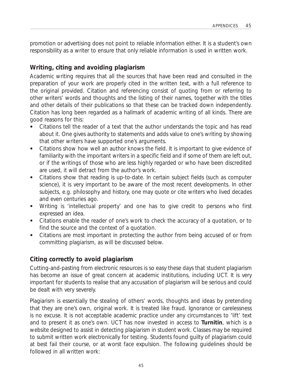promotion or advertising does not point to reliable information either. It is a student's own responsibility as a writer to ensure that only reliable information is used in written work.

#### **Writing, citing and avoiding plagiarism**

Academic writing requires that all the sources that have been read and consulted in the preparation of your work are properly cited in the written text, with a full reference to the original provided. Citation and referencing consist of quoting from or referring to other writers' words and thoughts and the listing of their names, together with the titles and other details of their publications so that these can be tracked down independently. Citation has long been regarded as a hallmark of academic writing of all kinds. There are good reasons for this:

- Citations tell the reader of a text that the author understands the topic and has read about it. One gives authority to statements and adds value to one's writing by showing that other writers have supported one's arguments.
- Citations show how well an author knows the field. It is important to give evidence of familiarity with the important writers in a specific field and if some of them are left out, or if the writings of those who are less highly regarded or who have been discredited are used, it will detract from the author's work.
- Citations show that reading is up-to-date. In certain subject fields (such as computer science), it is very important to be aware of the most recent developments. In other subjects, e.g. philosophy and history, one may quote or cite writers who lived decades and even centuries ago.
- Writing is 'intellectual property' and one has to give credit to persons who first expressed an idea.
- • Citations enable the *reader* of one's work to check the accuracy of a quotation, or to find the source and the context of a quotation.
- Citations are most important in protecting the author from being accused of or from committing plagiarism, as will be discussed below.

#### **Citing correctly to avoid plagiarism**

Cutting-and-pasting from electronic resources is so easy these days that student plagiarism has become an issue of great concern at academic institutions, including UCT. It is very important for students to realise that any accusation of plagiarism will be serious and could be dealt with very severely.

Plagiarism is essentially the stealing of others' words, thoughts and ideas by pretending that they are one's own, original work. It is treated like fraud. Ignorance or carelessness is no excuse. It is not acceptable academic practice under any circumstances to 'lift' text and to present it as one's own. UCT has now invested in access to **Turnitin**, which is a website designed to assist in detecting plagiarism in student work. Classes may be required to submit written work electronically for testing. Students found guilty of plagiarism could at best fail their course, or at worst face expulsion. The following guidelines should be followed in all written work: